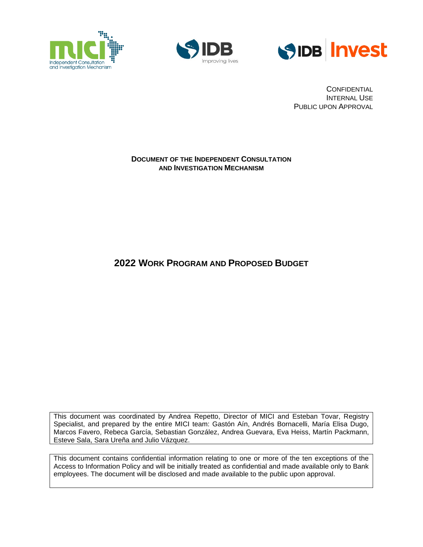





**CONFIDENTIAL** INTERNAL USE PUBLIC UPON APPROVAL

#### **DOCUMENT OF THE INDEPENDENT CONSULTATION AND INVESTIGATION MECHANISM**

# **2022 WORK PROGRAM AND PROPOSED BUDGET**

This document was coordinated by Andrea Repetto, Director of MICI and Esteban Tovar, Registry Specialist, and prepared by the entire MICI team: Gastón Aín, Andrés Bornacelli, María Elisa Dugo, Marcos Favero, Rebeca García, Sebastian González, Andrea Guevara, Eva Heiss, Martín Packmann, Esteve Sala, Sara Ureña and Julio Vázquez.

This document contains confidential information relating to one or more of the ten exceptions of the Access to Information Policy and will be initially treated as confidential and made available only to Bank employees. The document will be disclosed and made available to the public upon approval.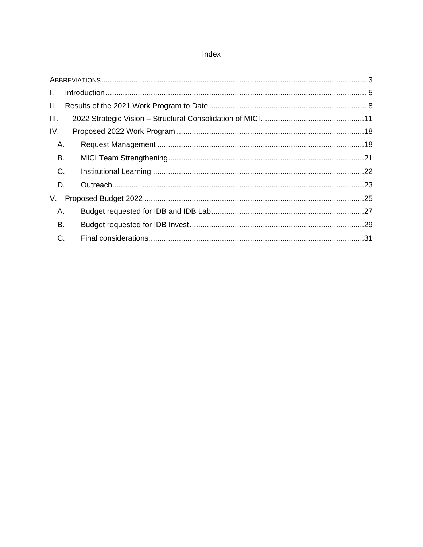### Index

| $\mathbf{L}$ |  |
|--------------|--|
| II.          |  |
| III.         |  |
| IV.          |  |
| Α.           |  |
| Β.           |  |
| C.           |  |
| D.           |  |
| V.           |  |
| Α.           |  |
| Β.           |  |
| C.           |  |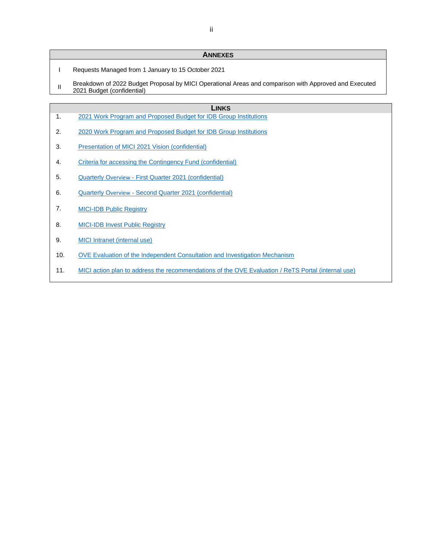#### **ANNEXES**

- I Requests Managed from 1 January to 15 October 2021
- II Breakdown of 2022 Budget Proposal by MICI Operational Areas and comparison with Approved and Executed<br>
2004 Budget (sedisterial) 2021 Budget (confidential)

#### **LINKS**

- 1. [2021 Work Program and Proposed Budget for IDB Group Institutions](https://idbg.sharepoint.com/teams/ez-SEC/Registered%20Documents/RI-Reg-MI/RIRegMIMICIEnglish/Independent%20Consultation%20and%20Investigation%20Mechanism.%202021%20Work%20Program%20and%20Proposed%20Budget.pdf)
- 2. [2020 Work Program and Proposed Budget for IDB Group Institutions](https://idbg.sharepoint.com/teams/ez-SEC/Registered%20Documents/RI-Reg-MI/RIRegMIMICIEnglish/Independent%20Consultation%20and%20Investigation%20Mechanism.%202020%20Work%20Program%20and%20Proposed%20Budget.pdf)
- 3. [Presentation of MICI 2021 Vision](https://idbg.sharepoint.com/teams/ez-SEC/Registered%20Documents/RI-Reg-MI/RIRegMIMICICONFIDENTIAL/Independent%20Consultation%20and%20Investigation%20Mechanism.%20Vision%202021.pdf) (confidential)
- 4. [Criteria for accessing the Contingency Fund \(confidential\)](https://idbg.sharepoint.com/:w:/r/teams/ez-MICI/admin/_layouts/15/Doc.aspx?sourcedoc=%7B56233194-87FA-4585-81D2-806ED28F5D71%7D&file=Criteria%20for%20Accessing%20the%20Contingency%20Fund%20%5B40276952%5D.docx&action=default&mobileredirect=true)
- 5. Quarterly Overview [First Quarter 2021 \(confidential\)](https://idbg.sharepoint.com/teams/ez-SEC/Registered%20Documents/RI-Reg-MI/RIRegMIMICICONFIDENTIAL/Independent%20Consultation%20and%20Investigation%20Mechanism.%20Quarterly%20Overview%20%20January-March%202021.pdf)
- 6. Quarterly Overview Second Quarter [2021 \(confidential\)](https://idbg.sharepoint.com/teams/ez-SEC/Registered%20Documents/RI-Reg-MI/RIRegMIMICICONFIDENTIAL/Independent%20Consultation%20and%20Investigation%20Mechanism.%20Quarterly%20Overview%20April-June%202021.pdf)
- 7. [MICI-IDB Public Registry](https://www.iadb.org/en/mici/idb-public-registry-chronological)
- 8. [MICI-IDB Invest Public Registry](https://www.iadb.org/en/mici/idb-public-registry-chronological)
- 9. [MICI Intranet \(internal use\)](https://idbg.sharepoint.com/sites/mici-es/)
- 10. [OVE Evaluation of the Independent Consultation and Investigation Mechanism](https://publications.iadb.org/publications/english/document/Evaluation-of-the-Independent-Consultation-and-Investigation-Mechanism-(ICIM).pdf)
- 11. MICI action plan to address the [recommendations of the OVE Evaluation](https://idbg.sharepoint.com/teams/ez-SPD/SMO/OVE/05%20Evaluation%20and%20Action%20Plans/Forms/AllItems.aspx?viewid=5da48b3c%2Dcab3%2D4b8c%2Db985%2D3781082d464c&id=%2Fteams%2Fez%2DSPD%2FSMO%2FOVE%2F05%20Evaluation%20and%20Action%20Plans%2FIDB%20Group%2FOther%20Evaluations%2FMICI) / ReTS Portal (internal use)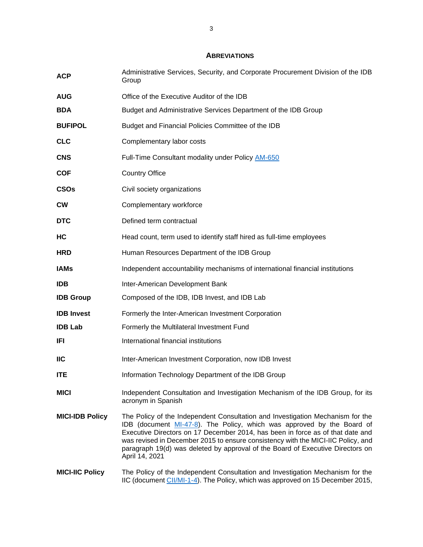#### **ABREVIATIONS**

<span id="page-3-0"></span>

| <b>ACP</b>             | Administrative Services, Security, and Corporate Procurement Division of the IDB<br>Group                                                                                                                                                                                                                                                                                                                                          |
|------------------------|------------------------------------------------------------------------------------------------------------------------------------------------------------------------------------------------------------------------------------------------------------------------------------------------------------------------------------------------------------------------------------------------------------------------------------|
| AUG                    | Office of the Executive Auditor of the IDB                                                                                                                                                                                                                                                                                                                                                                                         |
| <b>BDA</b>             | Budget and Administrative Services Department of the IDB Group                                                                                                                                                                                                                                                                                                                                                                     |
| <b>BUFIPOL</b>         | Budget and Financial Policies Committee of the IDB                                                                                                                                                                                                                                                                                                                                                                                 |
| <b>CLC</b>             | Complementary labor costs                                                                                                                                                                                                                                                                                                                                                                                                          |
| <b>CNS</b>             | Full-Time Consultant modality under Policy AM-650                                                                                                                                                                                                                                                                                                                                                                                  |
| <b>COF</b>             | <b>Country Office</b>                                                                                                                                                                                                                                                                                                                                                                                                              |
| <b>CSOs</b>            | Civil society organizations                                                                                                                                                                                                                                                                                                                                                                                                        |
| <b>CW</b>              | Complementary workforce                                                                                                                                                                                                                                                                                                                                                                                                            |
| <b>DTC</b>             | Defined term contractual                                                                                                                                                                                                                                                                                                                                                                                                           |
| НC                     | Head count, term used to identify staff hired as full-time employees                                                                                                                                                                                                                                                                                                                                                               |
| <b>HRD</b>             | Human Resources Department of the IDB Group                                                                                                                                                                                                                                                                                                                                                                                        |
| <b>IAMs</b>            | Independent accountability mechanisms of international financial institutions                                                                                                                                                                                                                                                                                                                                                      |
| <b>IDB</b>             | Inter-American Development Bank                                                                                                                                                                                                                                                                                                                                                                                                    |
| <b>IDB Group</b>       | Composed of the IDB, IDB Invest, and IDB Lab                                                                                                                                                                                                                                                                                                                                                                                       |
| <b>IDB Invest</b>      | Formerly the Inter-American Investment Corporation                                                                                                                                                                                                                                                                                                                                                                                 |
| <b>IDB Lab</b>         | Formerly the Multilateral Investment Fund                                                                                                                                                                                                                                                                                                                                                                                          |
| IFI                    | International financial institutions                                                                                                                                                                                                                                                                                                                                                                                               |
| <b>IIC</b>             | Inter-American Investment Corporation, now IDB Invest                                                                                                                                                                                                                                                                                                                                                                              |
| ITE                    | Information Technology Department of the IDB Group                                                                                                                                                                                                                                                                                                                                                                                 |
| <b>MICI</b>            | Independent Consultation and Investigation Mechanism of the IDB Group, for its<br>acronym in Spanish                                                                                                                                                                                                                                                                                                                               |
| <b>MICI-IDB Policy</b> | The Policy of the Independent Consultation and Investigation Mechanism for the<br>IDB (document MI-47-8). The Policy, which was approved by the Board of<br>Executive Directors on 17 December 2014, has been in force as of that date and<br>was revised in December 2015 to ensure consistency with the MICI-IIC Policy, and<br>paragraph 19(d) was deleted by approval of the Board of Executive Directors on<br>April 14, 2021 |
| <b>MICI-IIC Policy</b> | The Policy of the Independent Consultation and Investigation Mechanism for the<br>IIC (document CII/MI-1-4). The Policy, which was approved on 15 December 2015,                                                                                                                                                                                                                                                                   |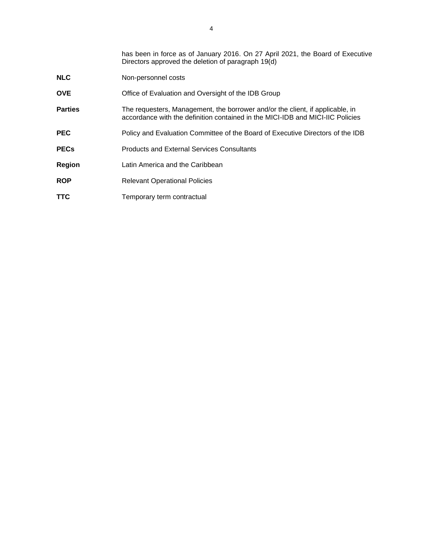|                | has been in force as of January 2016. On 27 April 2021, the Board of Executive<br>Directors approved the deletion of paragraph 19(d)                            |
|----------------|-----------------------------------------------------------------------------------------------------------------------------------------------------------------|
| <b>NLC</b>     | Non-personnel costs                                                                                                                                             |
| <b>OVE</b>     | Office of Evaluation and Oversight of the IDB Group                                                                                                             |
| <b>Parties</b> | The requesters, Management, the borrower and/or the client, if applicable, in<br>accordance with the definition contained in the MICI-IDB and MICI-IIC Policies |
| <b>PEC</b>     | Policy and Evaluation Committee of the Board of Executive Directors of the IDB                                                                                  |
| <b>PECs</b>    | <b>Products and External Services Consultants</b>                                                                                                               |
| <b>Region</b>  | Latin America and the Caribbean                                                                                                                                 |
| <b>ROP</b>     | <b>Relevant Operational Policies</b>                                                                                                                            |
| <b>TTC</b>     | Temporary term contractual                                                                                                                                      |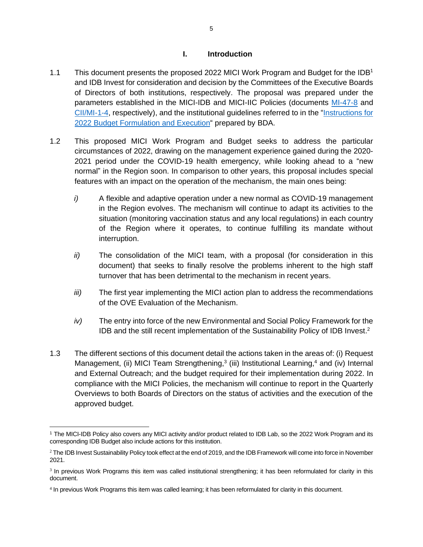#### **I. Introduction**

- <span id="page-5-0"></span>1.1 This document presents the proposed 2022 MICI Work Program and Budget for the IDB<sup>1</sup> and IDB Invest for consideration and decision by the Committees of the Executive Boards of Directors of both institutions, respectively. The proposal was prepared under the parameters established in the MICI-IDB and MICI-IIC Policies (documents [MI-47-8](https://idbdocs.iadb.org/wsdocs/getdocument.aspx?docnum=EZSHARE-525549286-365) and [CII/MI-1-4,](https://idbdocs.iadb.org/wsdocs/getdocument.aspx?docnum=EZSHARE-525549286-362) respectively), and the institutional guidelines referred to in the ["Instructions for](https://idbg.sharepoint.com/teams/ez-BGT/Administrative/Preparation/Forms/AllItems.aspx?id=%2Fteams%2Fez%2DBGT%2FAdministrative%2FPreparation%2FBudget%20Instructions%2FCopy%2Dof%2DBudget%2DInstructions%2D2022%2DII%20%2810%29%2Epdf&parent=%2Fteams%2Fez%2DBGT%2FAdministrative%2FPreparation%2FBudget%20Instructions)  [2022 Budget Formulation and Execution"](https://idbg.sharepoint.com/teams/ez-BGT/Administrative/Preparation/Forms/AllItems.aspx?id=%2Fteams%2Fez%2DBGT%2FAdministrative%2FPreparation%2FBudget%20Instructions%2FCopy%2Dof%2DBudget%2DInstructions%2D2022%2DII%20%2810%29%2Epdf&parent=%2Fteams%2Fez%2DBGT%2FAdministrative%2FPreparation%2FBudget%20Instructions) prepared by BDA.
- 1.2 This proposed MICI Work Program and Budget seeks to address the particular circumstances of 2022, drawing on the management experience gained during the 2020- 2021 period under the COVID-19 health emergency, while looking ahead to a "new normal" in the Region soon. In comparison to other years, this proposal includes special features with an impact on the operation of the mechanism, the main ones being:
	- *i)* A flexible and adaptive operation under a new normal as COVID-19 management in the Region evolves. The mechanism will continue to adapt its activities to the situation (monitoring vaccination status and any local regulations) in each country of the Region where it operates, to continue fulfilling its mandate without interruption.
	- *ii)* The consolidation of the MICI team, with a proposal (for consideration in this document) that seeks to finally resolve the problems inherent to the high staff turnover that has been detrimental to the mechanism in recent years.
	- *iii)* The first year implementing the MICI action plan to address the recommendations of the OVE Evaluation of the Mechanism.
	- *iv)* The entry into force of the new Environmental and Social Policy Framework for the IDB and the still recent implementation of the Sustainability Policy of IDB Invest.<sup>2</sup>
- 1.3 The different sections of this document detail the actions taken in the areas of: (i) Request Management, (ii) MICI Team Strengthening,<sup>3</sup> (iii) Institutional Learning,<sup>4</sup> and (iv) Internal and External Outreach; and the budget required for their implementation during 2022. In compliance with the MICI Policies, the mechanism will continue to report in the Quarterly Overviews to both Boards of Directors on the status of activities and the execution of the approved budget.

<sup>1</sup> The MICI-IDB Policy also covers any MICI activity and/or product related to IDB Lab, so the 2022 Work Program and its corresponding IDB Budget also include actions for this institution.

<sup>&</sup>lt;sup>2</sup> The IDB Invest Sustainability Policy took effect at the end of 2019, and the IDB Framework will come into force in November 2021.

<sup>&</sup>lt;sup>3</sup> In previous Work Programs this item was called institutional strengthening; it has been reformulated for clarity in this document.

<sup>4</sup> In previous Work Programs this item was called learning; it has been reformulated for clarity in this document.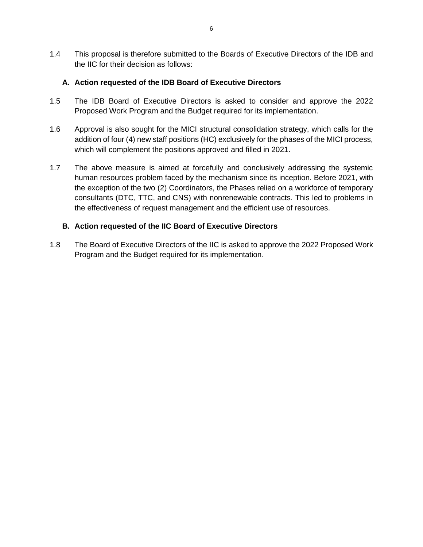1.4 This proposal is therefore submitted to the Boards of Executive Directors of the IDB and the IIC for their decision as follows:

### **A. Action requested of the IDB Board of Executive Directors**

- 1.5 The IDB Board of Executive Directors is asked to consider and approve the 2022 Proposed Work Program and the Budget required for its implementation.
- 1.6 Approval is also sought for the MICI structural consolidation strategy, which calls for the addition of four (4) new staff positions (HC) exclusively for the phases of the MICI process, which will complement the positions approved and filled in 2021.
- 1.7 The above measure is aimed at forcefully and conclusively addressing the systemic human resources problem faced by the mechanism since its inception. Before 2021, with the exception of the two (2) Coordinators, the Phases relied on a workforce of temporary consultants (DTC, TTC, and CNS) with nonrenewable contracts. This led to problems in the effectiveness of request management and the efficient use of resources.

### **B. Action requested of the IIC Board of Executive Directors**

1.8 The Board of Executive Directors of the IIC is asked to approve the 2022 Proposed Work Program and the Budget required for its implementation.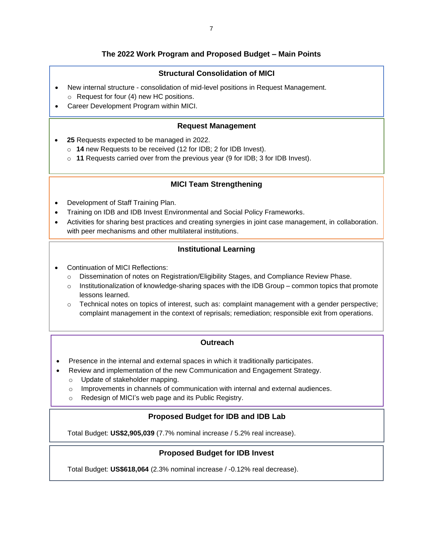### **The 2022 Work Program and Proposed Budget – Main Points**

### **Structural Consolidation of MICI**

- New internal structure consolidation of mid-level positions in Request Management. o Request for four (4) new HC positions.
- Career Development Program within MICI.

#### **Request Management**

- **25** Requests expected to be managed in 2022.
	- o **14** new Requests to be received (12 for IDB; 2 for IDB Invest).
	- o **11** Requests carried over from the previous year (9 for IDB; 3 for IDB Invest).

#### **MICI Team Strengthening**

- Development of Staff Training Plan.
- Training on IDB and IDB Invest Environmental and Social Policy Frameworks.
- Activities for sharing best practices and creating synergies in joint case management, in collaboration. with peer mechanisms and other multilateral institutions.

### **Institutional Learning**

- Continuation of MICI Reflections:
	- o Dissemination of notes on Registration/Eligibility Stages, and Compliance Review Phase.
	- $\circ$  Institutionalization of knowledge-sharing spaces with the IDB Group common topics that promote lessons learned.
	- $\circ$  Technical notes on topics of interest, such as: complaint management with a gender perspective; complaint management in the context of reprisals; remediation; responsible exit from operations.

#### **Outreach**

- Presence in the internal and external spaces in which it traditionally participates.
- Review and implementation of the new Communication and Engagement Strategy.
	- o Update of stakeholder mapping.
	- $\circ$  Improvements in channels of communication with internal and external audiences.
	- o Redesign of MICI's web page and its Public Registry.

### **Proposed Budget for IDB and IDB Lab**

Total Budget: **US\$2,905,039** (7.7% nominal increase / 5.2% real increase).

#### **Proposed Budget for IDB Invest**

Total Budget: **US\$618,064** (2.3% nominal increase / -0.12% real decrease).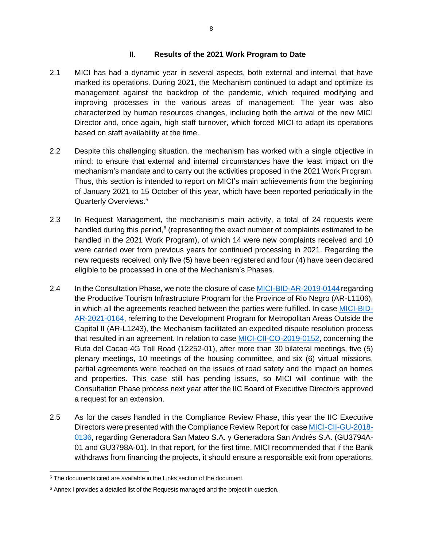#### **II. Results of the 2021 Work Program to Date**

- <span id="page-8-0"></span>2.1 MICI has had a dynamic year in several aspects, both external and internal, that have marked its operations. During 2021, the Mechanism continued to adapt and optimize its management against the backdrop of the pandemic, which required modifying and improving processes in the various areas of management. The year was also characterized by human resources changes, including both the arrival of the new MICI Director and, once again, high staff turnover, which forced MICI to adapt its operations based on staff availability at the time.
- 2.2 Despite this challenging situation, the mechanism has worked with a single objective in mind: to ensure that external and internal circumstances have the least impact on the mechanism's mandate and to carry out the activities proposed in the 2021 Work Program. Thus, this section is intended to report on MICI's main achievements from the beginning of January 2021 to 15 October of this year, which have been reported periodically in the Quarterly Overviews. 5
- 2.3 In Request Management, the mechanism's main activity, a total of 24 requests were handled during this period,<sup>6</sup> (representing the exact number of complaints estimated to be handled in the 2021 Work Program), of which 14 were new complaints received and 10 were carried over from previous years for continued processing in 2021. Regarding the new requests received, only five (5) have been registered and four (4) have been declared eligible to be processed in one of the Mechanism's Phases.
- 2.4 In the Consultation Phase, we note the closure of case [MICI-BID-AR-2019-0144](https://www.iadb.org/en/mici/complaint-detail?ID=MICI-BID-AR-2019-0144) regarding the Productive Tourism Infrastructure Program for the Province of Rio Negro (AR-L1106), in which all the agreements reached between the parties were fulfilled. In case [MICI-BID-](https://www.iadb.org/en/mici/complaint-detail?ID=MICI-BID-AR-2021-0164)[AR-2021-0164,](https://www.iadb.org/en/mici/complaint-detail?ID=MICI-BID-AR-2021-0164) referring to the Development Program for Metropolitan Areas Outside the Capital II (AR-L1243), the Mechanism facilitated an expedited dispute resolution process that resulted in an agreement. In relation to case [MICI-CII-CO-2019-0152,](https://www.iadb.org/en/mici/complaint-detail?ID=MICI-CII-CO-2019-0152&nid=27243) concerning the Ruta del Cacao 4G Toll Road (12252-01), after more than 30 bilateral meetings, five (5) plenary meetings, 10 meetings of the housing committee, and six (6) virtual missions, partial agreements were reached on the issues of road safety and the impact on homes and properties. This case still has pending issues, so MICI will continue with the Consultation Phase process next year after the IIC Board of Executive Directors approved a request for an extension.
- 2.5 As for the cases handled in the Compliance Review Phase, this year the IIC Executive Directors were presented with the Compliance Review Report for case [MICI-CII-GU-2018-](https://www.iadb.org/en/mici/complaint-detail?ID=MICI-CII-GU-2018-0136&nid=23508) [0136,](https://www.iadb.org/en/mici/complaint-detail?ID=MICI-CII-GU-2018-0136&nid=23508) regarding Generadora San Mateo S.A. y Generadora San Andrés S.A. (GU3794A-01 and GU3798A-01). In that report, for the first time, MICI recommended that if the Bank withdraws from financing the projects, it should ensure a responsible exit from operations.

<sup>5</sup> The documents cited are available in the Links section of the document.

 $6$  Annex I provides a detailed list of the Requests managed and the project in question.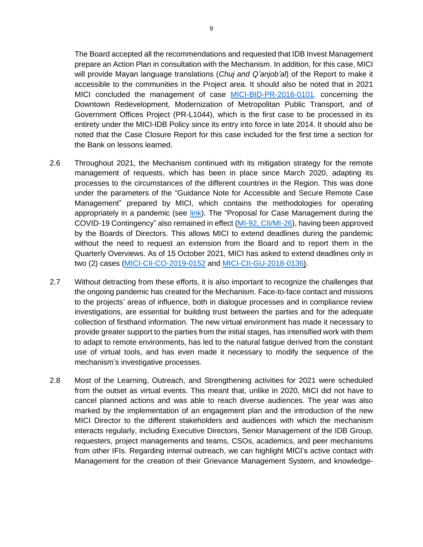The Board accepted all the recommendations and requested that IDB Invest Management prepare an Action Plan in consultation with the Mechanism. In addition, for this case, MICI will provide Mayan language translations (*Chuj and Q'anjob'al*) of the Report to make it accessible to the communities in the Project area. It should also be noted that in 2021 MICI concluded the management of case [MICI-BID-PR-2016-0101,](https://www.iadb.org/en/mici/request-detail-iic?id=MICI-BID-PR-2016-0101) concerning the Downtown Redevelopment, Modernization of Metropolitan Public Transport, and of Government Offices Project (PR-L1044), which is the first case to be processed in its entirety under the MICI-IDB Policy since its entry into force in late 2014. It should also be noted that the Case Closure Report for this case included for the first time a section for the Bank on lessons learned.

- 2.6 Throughout 2021, the Mechanism continued with its mitigation strategy for the remote management of requests, which has been in place since March 2020, adapting its processes to the circumstances of the different countries in the Region. This was done under the parameters of the "Guidance Note for Accessible and Secure Remote Case Management" prepared by MICI, which contains the methodologies for operating appropriately in a pandemic (see [link\)](https://idbdocs.iadb.org/wsdocs/getdocument.aspx?docnum=EZSHARE-525549286-343). The "Proposal for Case Management during the COVID-19 Contingency" also remained in effect [\(MI-92, CII/MI-26\)](https://idbg.sharepoint.com/teams/ez-SEC/Registered%20Documents/RI-Reg-MI/RIRegMIMICIEnglish/Proposal%20for%20Case%20Management%20During%20the%20COVID-19%20Crisis.%20Request%20for%20Extended%20Time%20Frames.pdf), having been approved by the Boards of Directors. This allows MICI to extend deadlines during the pandemic without the need to request an extension from the Board and to report them in the Quarterly Overviews. As of 15 October 2021, MICI has asked to extend deadlines only in two (2) cases [\(MICI-CII-CO-2019-0152](https://www.iadb.org/en/mici/complaint-detail?ID=MICI-CII-CO-2019-0152&nid=27243) and [MICI-CII-GU-2018-0136\)](https://www.iadb.org/en/mici/request-detail-iic?ID=MICI-CII-GU-2018-0136&nid=23508).
- 2.7 Without detracting from these efforts, it is also important to recognize the challenges that the ongoing pandemic has created for the Mechanism. Face-to-face contact and missions to the projects' areas of influence, both in dialogue processes and in compliance review investigations, are essential for building trust between the parties and for the adequate collection of firsthand information. The new virtual environment has made it necessary to provide greater support to the parties from the initial stages, has intensified work with them to adapt to remote environments, has led to the natural fatigue derived from the constant use of virtual tools, and has even made it necessary to modify the sequence of the mechanism's investigative processes.
- 2.8 Most of the Learning, Outreach, and Strengthening activities for 2021 were scheduled from the outset as virtual events. This meant that, unlike in 2020, MICI did not have to cancel planned actions and was able to reach diverse audiences. The year was also marked by the implementation of an engagement plan and the introduction of the new MICI Director to the different stakeholders and audiences with which the mechanism interacts regularly, including Executive Directors, Senior Management of the IDB Group, requesters, project managements and teams, CSOs, academics, and peer mechanisms from other IFIs. Regarding internal outreach, we can highlight MICI's active contact with Management for the creation of their Grievance Management System, and knowledge-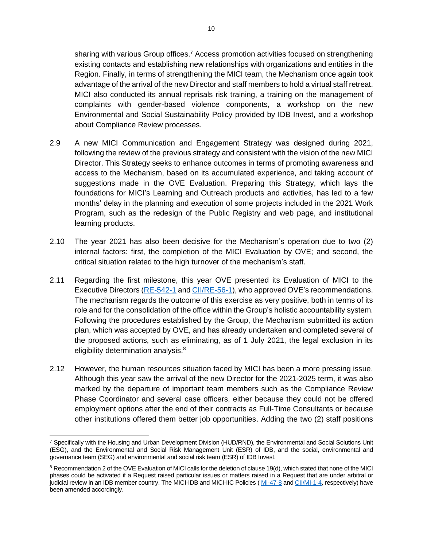sharing with various Group offices.<sup>7</sup> Access promotion activities focused on strengthening existing contacts and establishing new relationships with organizations and entities in the Region. Finally, in terms of strengthening the MICI team, the Mechanism once again took advantage of the arrival of the new Director and staff members to hold a virtual staff retreat. MICI also conducted its annual reprisals risk training, a training on the management of complaints with gender-based violence components, a workshop on the new Environmental and Social Sustainability Policy provided by IDB Invest, and a workshop about Compliance Review processes.

- 2.9 A new MICI Communication and Engagement Strategy was designed during 2021, following the review of the previous strategy and consistent with the vision of the new MICI Director. This Strategy seeks to enhance outcomes in terms of promoting awareness and access to the Mechanism, based on its accumulated experience, and taking account of suggestions made in the OVE Evaluation. Preparing this Strategy, which lays the foundations for MICI's Learning and Outreach products and activities, has led to a few months' delay in the planning and execution of some projects included in the 2021 Work Program, such as the redesign of the Public Registry and web page, and institutional learning products.
- 2.10 The year 2021 has also been decisive for the Mechanism's operation due to two (2) internal factors: first, the completion of the MICI Evaluation by OVE; and second, the critical situation related to the high turnover of the mechanism's staff.
- 2.11 Regarding the first milestone, this year OVE presented its Evaluation of MICI to the Executive Directors [\(RE-542-1](https://idbg.sharepoint.com/teams/ez-SEC/Registered%20Documents/RI-Reg-RE/RIRegREEnglish/Evaluation%20of%20the%20Independent%20Consultation%20and%20Investigation%20Mechanism.pdf) and [CII/RE-56-1\)](https://idbg.sharepoint.com/teams/ez-SEC/Registered%20Documents/RI-Reg-RE/RIRegREEnglish/Evaluation%20of%20the%20Independent%20Consultation%20and%20Investigation%20Mechanism.pdf), who approved OVE's recommendations. The mechanism regards the outcome of this exercise as very positive, both in terms of its role and for the consolidation of the office within the Group's holistic accountability system. Following the procedures established by the Group, the Mechanism submitted its action plan, which was accepted by OVE, and has already undertaken and completed several of the proposed actions, such as eliminating, as of 1 July 2021, the legal exclusion in its eligibility determination analysis.<sup>8</sup>
- 2.12 However, the human resources situation faced by MICI has been a more pressing issue. Although this year saw the arrival of the new Director for the 2021-2025 term, it was also marked by the departure of important team members such as the Compliance Review Phase Coordinator and several case officers, either because they could not be offered employment options after the end of their contracts as Full-Time Consultants or because other institutions offered them better job opportunities. Adding the two (2) staff positions

<sup>7</sup> Specifically with the Housing and Urban Development Division (HUD/RND), the Environmental and Social Solutions Unit (ESG), and the Environmental and Social Risk Management Unit (ESR) of IDB, and the social, environmental and governance team (SEG) and environmental and social risk team (ESR) of IDB Invest.

<sup>8</sup> Recommendation 2 of the OVE Evaluation of MICI calls for the deletion of clause 19(d), which stated that none of the MICI phases could be activated if a Request raised particular issues or matters raised in a Request that are under arbitral or judicial review in an IDB member country. The MICI-IDB and MICI-IIC Policies ([MI-47-8](https://idbdocs.iadb.org/wsdocs/getdocument.aspx?docnum=EZSHARE-525549286-365) and [CII/MI-1-4,](https://idbdocs.iadb.org/wsdocs/getdocument.aspx?docnum=EZSHARE-525549286-362) respectively) have been amended accordingly.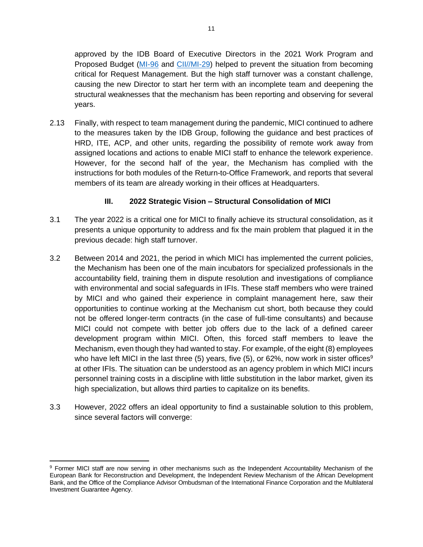approved by the IDB Board of Executive Directors in the 2021 Work Program and Proposed Budget [\(MI-96](https://idbg.sharepoint.com/teams/ez-SEC/Registered%20Documents/RI-Reg-MI/RIRegMIMICIEnglish/Independent%20Consultation%20and%20Investigation%20Mechanism.%202021%20Work%20Program%20and%20Proposed%20Budget.pdf) and [CII//MI-29\)](https://idbg.sharepoint.com/teams/ez-SEC/Registered%20Documents/RI-Reg-MI/RIRegMIMICIEnglish/Independent%20Consultation%20and%20Investigation%20Mechanism.%202021%20Work%20Program%20and%20Proposed%20Budget.pdf) helped to prevent the situation from becoming critical for Request Management. But the high staff turnover was a constant challenge, causing the new Director to start her term with an incomplete team and deepening the structural weaknesses that the mechanism has been reporting and observing for several years.

2.13 Finally, with respect to team management during the pandemic, MICI continued to adhere to the measures taken by the IDB Group, following the guidance and best practices of HRD, ITE, ACP, and other units, regarding the possibility of remote work away from assigned locations and actions to enable MICI staff to enhance the telework experience. However, for the second half of the year, the Mechanism has complied with the instructions for both modules of the Return-to-Office Framework, and reports that several members of its team are already working in their offices at Headquarters.

### **III. 2022 Strategic Vision – Structural Consolidation of MICI**

- <span id="page-11-0"></span>3.1 The year 2022 is a critical one for MICI to finally achieve its structural consolidation, as it presents a unique opportunity to address and fix the main problem that plagued it in the previous decade: high staff turnover.
- 3.2 Between 2014 and 2021, the period in which MICI has implemented the current policies, the Mechanism has been one of the main incubators for specialized professionals in the accountability field, training them in dispute resolution and investigations of compliance with environmental and social safeguards in IFIs. These staff members who were trained by MICI and who gained their experience in complaint management here, saw their opportunities to continue working at the Mechanism cut short, both because they could not be offered longer-term contracts (in the case of full-time consultants) and because MICI could not compete with better job offers due to the lack of a defined career development program within MICI. Often, this forced staff members to leave the Mechanism, even though they had wanted to stay. For example, of the eight (8) employees who have left MICI in the last three (5) years, five (5), or 62%, now work in sister offices<sup>9</sup> at other IFIs. The situation can be understood as an agency problem in which MICI incurs personnel training costs in a discipline with little substitution in the labor market, given its high specialization, but allows third parties to capitalize on its benefits.
- 3.3 However, 2022 offers an ideal opportunity to find a sustainable solution to this problem, since several factors will converge:

<sup>9</sup> Former MICI staff are now serving in other mechanisms such as the Independent Accountability Mechanism of the European Bank for Reconstruction and Development, the Independent Review Mechanism of the African Development Bank, and the Office of the Compliance Advisor Ombudsman of the International Finance Corporation and the Multilateral Investment Guarantee Agency.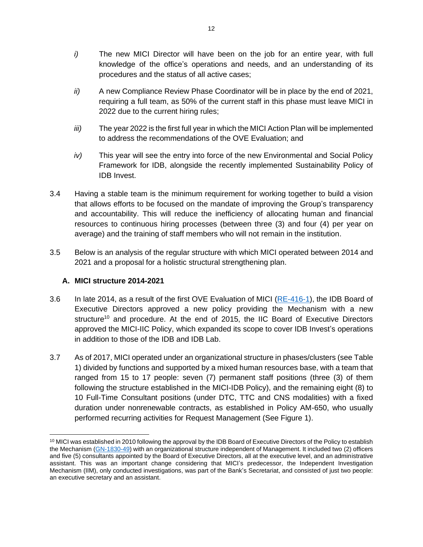- *i)* The new MICI Director will have been on the job for an entire year, with full knowledge of the office's operations and needs, and an understanding of its procedures and the status of all active cases;
- *ii)* A new Compliance Review Phase Coordinator will be in place by the end of 2021, requiring a full team, as 50% of the current staff in this phase must leave MICI in 2022 due to the current hiring rules;
- *iii)* The year 2022 is the first full year in which the MICI Action Plan will be implemented to address the recommendations of the OVE Evaluation; and
- *iv)* This year will see the entry into force of the new Environmental and Social Policy Framework for IDB, alongside the recently implemented Sustainability Policy of IDB Invest.
- 3.4 Having a stable team is the minimum requirement for working together to build a vision that allows efforts to be focused on the mandate of improving the Group's transparency and accountability. This will reduce the inefficiency of allocating human and financial resources to continuous hiring processes (between three (3) and four (4) per year on average) and the training of staff members who will not remain in the institution.
- 3.5 Below is an analysis of the regular structure with which MICI operated between 2014 and 2021 and a proposal for a holistic structural strengthening plan.

### **A. MICI structure 2014-2021**

- 3.6 In late 2014, as a result of the first OVE Evaluation of MICI [\(RE-416-1\)](https://idbg.sharepoint.com/teams/ez-SEC/Registered%20Documents/RI-Reg-RE/RIRegREEnglish/Evaluation%20of%20the%20Independent%20Consultation%20and%20Investigation%20Mechanism%20%5b37321248%5d.PDF), the IDB Board of Executive Directors approved a new policy providing the Mechanism with a new structure<sup>10</sup> and procedure. At the end of 2015, the IIC Board of Executive Directors approved the MICI-IIC Policy, which expanded its scope to cover IDB Invest's operations in addition to those of the IDB and IDB Lab.
- 3.7 As of 2017, MICI operated under an organizational structure in phases/clusters (see Table 1) divided by functions and supported by a mixed human resources base, with a team that ranged from 15 to 17 people: seven (7) permanent staff positions (three (3) of them following the structure established in the MICI-IDB Policy), and the remaining eight (8) to 10 Full-Time Consultant positions (under DTC, TTC and CNS modalities) with a fixed duration under nonrenewable contracts, as established in Policy AM-650, who usually performed recurring activities for Request Management (See Figure 1).

 $10$  MICI was established in 2010 following the approval by the IDB Board of Executive Directors of the Policy to establish the Mechanism [\(GN-1830-49\)](https://idbg.sharepoint.com/teams/ez-SEC/Registered%20Documents/RI-Reg-GN/RIRegGNEnglish/Policy%20establishing%20the%20Independent%20Consultation%20and%20Investigation%20Mechanism%20%5b35067104%5d.PDF) with an organizational structure independent of Management. It included two (2) officers and five (5) consultants appointed by the Board of Executive Directors, all at the executive level, and an administrative assistant. This was an important change considering that MICI's predecessor, the Independent Investigation Mechanism (IIM), only conducted investigations, was part of the Bank's Secretariat, and consisted of just two people: an executive secretary and an assistant.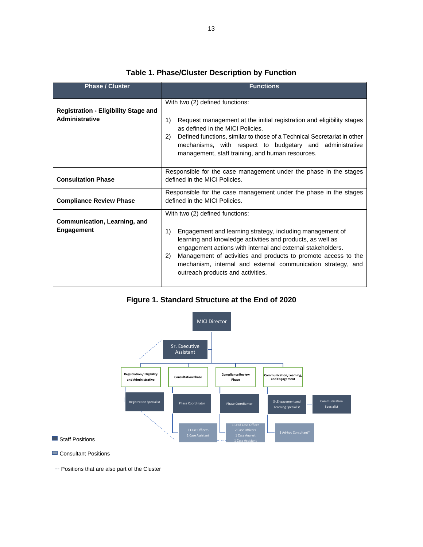| <b>Phase / Cluster</b>                                               | <b>Functions</b>                                                                                                                                                                                                                                                                                                                                                                                              |  |  |  |  |  |  |
|----------------------------------------------------------------------|---------------------------------------------------------------------------------------------------------------------------------------------------------------------------------------------------------------------------------------------------------------------------------------------------------------------------------------------------------------------------------------------------------------|--|--|--|--|--|--|
| <b>Registration - Eligibility Stage and</b><br><b>Administrative</b> | With two (2) defined functions:<br>1)<br>Request management at the initial registration and eligibility stages<br>as defined in the MICI Policies.<br>Defined functions, similar to those of a Technical Secretariat in other<br>(2)<br>mechanisms, with respect to budgetary and administrative<br>management, staff training, and human resources.                                                          |  |  |  |  |  |  |
| <b>Consultation Phase</b>                                            | Responsible for the case management under the phase in the stages<br>defined in the MICI Policies.                                                                                                                                                                                                                                                                                                            |  |  |  |  |  |  |
| <b>Compliance Review Phase</b>                                       | Responsible for the case management under the phase in the stages<br>defined in the MICI Policies.                                                                                                                                                                                                                                                                                                            |  |  |  |  |  |  |
| Communication, Learning, and<br><b>Engagement</b>                    | With two (2) defined functions:<br>1)<br>Engagement and learning strategy, including management of<br>learning and knowledge activities and products, as well as<br>engagement actions with internal and external stakeholders.<br>Management of activities and products to promote access to the<br>(2)<br>mechanism, internal and external communication strategy, and<br>outreach products and activities. |  |  |  |  |  |  |

### **Table 1. Phase/Cluster Description by Function**

**Figure 1. Standard Structure at the End of 2020**



Consultant Positions

-- Positions that are also part of the Cluster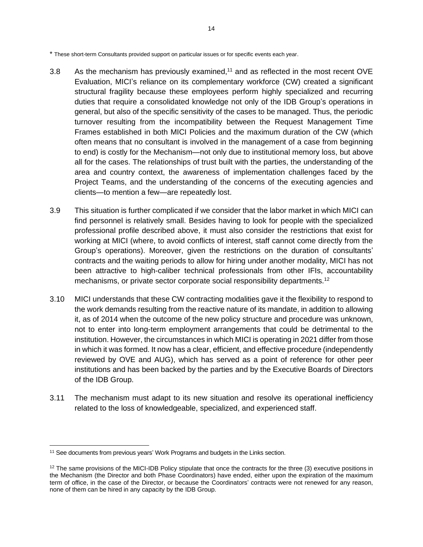\* These short-term Consultants provided support on particular issues or for specific events each year.

- 3.8 As the mechanism has previously examined,<sup>11</sup> and as reflected in the most recent OVE Evaluation, MICI's reliance on its complementary workforce (CW) created a significant structural fragility because these employees perform highly specialized and recurring duties that require a consolidated knowledge not only of the IDB Group's operations in general, but also of the specific sensitivity of the cases to be managed. Thus, the periodic turnover resulting from the incompatibility between the Request Management Time Frames established in both MICI Policies and the maximum duration of the CW (which often means that no consultant is involved in the management of a case from beginning to end) is costly for the Mechanism—not only due to institutional memory loss, but above all for the cases. The relationships of trust built with the parties, the understanding of the area and country context, the awareness of implementation challenges faced by the Project Teams, and the understanding of the concerns of the executing agencies and clients—to mention a few—are repeatedly lost.
- 3.9 This situation is further complicated if we consider that the labor market in which MICI can find personnel is relatively small. Besides having to look for people with the specialized professional profile described above, it must also consider the restrictions that exist for working at MICI (where, to avoid conflicts of interest, staff cannot come directly from the Group's operations). Moreover, given the restrictions on the duration of consultants' contracts and the waiting periods to allow for hiring under another modality, MICI has not been attractive to high-caliber technical professionals from other IFIs, accountability mechanisms, or private sector corporate social responsibility departments.<sup>12</sup>
- 3.10 MICI understands that these CW contracting modalities gave it the flexibility to respond to the work demands resulting from the reactive nature of its mandate, in addition to allowing it, as of 2014 when the outcome of the new policy structure and procedure was unknown, not to enter into long-term employment arrangements that could be detrimental to the institution. However, the circumstances in which MICI is operating in 2021 differ from those in which it was formed. It now has a clear, efficient, and effective procedure (independently reviewed by OVE and AUG), which has served as a point of reference for other peer institutions and has been backed by the parties and by the Executive Boards of Directors of the IDB Group.
- 3.11 The mechanism must adapt to its new situation and resolve its operational inefficiency related to the loss of knowledgeable, specialized, and experienced staff.

<sup>&</sup>lt;sup>11</sup> See documents from previous years' Work Programs and budgets in the Links section.

 $12$  The same provisions of the MICI-IDB Policy stipulate that once the contracts for the three (3) executive positions in the Mechanism (the Director and both Phase Coordinators) have ended, either upon the expiration of the maximum term of office, in the case of the Director, or because the Coordinators' contracts were not renewed for any reason, none of them can be hired in any capacity by the IDB Group.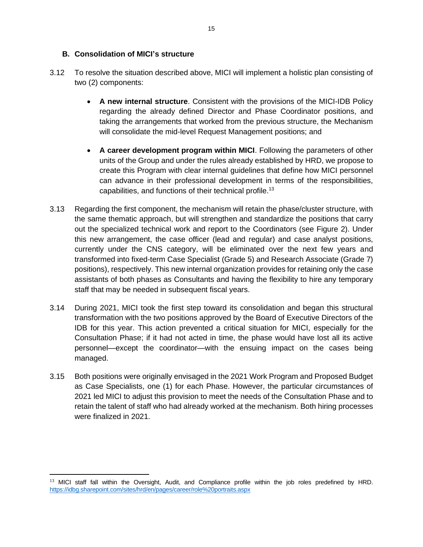#### **B. Consolidation of MICI's structure**

- 3.12 To resolve the situation described above, MICI will implement a holistic plan consisting of two (2) components:
	- **A new internal structure**. Consistent with the provisions of the MICI-IDB Policy regarding the already defined Director and Phase Coordinator positions, and taking the arrangements that worked from the previous structure, the Mechanism will consolidate the mid-level Request Management positions; and
	- **A career development program within MICI**. Following the parameters of other units of the Group and under the rules already established by HRD, we propose to create this Program with clear internal guidelines that define how MICI personnel can advance in their professional development in terms of the responsibilities, capabilities, and functions of their technical profile. 13
- 3.13 Regarding the first component, the mechanism will retain the phase/cluster structure, with the same thematic approach, but will strengthen and standardize the positions that carry out the specialized technical work and report to the Coordinators (see Figure 2). Under this new arrangement, the case officer (lead and regular) and case analyst positions, currently under the CNS category, will be eliminated over the next few years and transformed into fixed-term Case Specialist (Grade 5) and Research Associate (Grade 7) positions), respectively. This new internal organization provides for retaining only the case assistants of both phases as Consultants and having the flexibility to hire any temporary staff that may be needed in subsequent fiscal years.
- 3.14 During 2021, MICI took the first step toward its consolidation and began this structural transformation with the two positions approved by the Board of Executive Directors of the IDB for this year. This action prevented a critical situation for MICI, especially for the Consultation Phase; if it had not acted in time, the phase would have lost all its active personnel—except the coordinator—with the ensuing impact on the cases being managed.
- 3.15 Both positions were originally envisaged in the 2021 Work Program and Proposed Budget as Case Specialists, one (1) for each Phase. However, the particular circumstances of 2021 led MICI to adjust this provision to meet the needs of the Consultation Phase and to retain the talent of staff who had already worked at the mechanism. Both hiring processes were finalized in 2021.

<sup>&</sup>lt;sup>13</sup> MICI staff fall within the Oversight, Audit, and Compliance profile within the job roles predefined by HRD. <https://idbg.sharepoint.com/sites/hrd/en/pages/career/role%20portraits.aspx>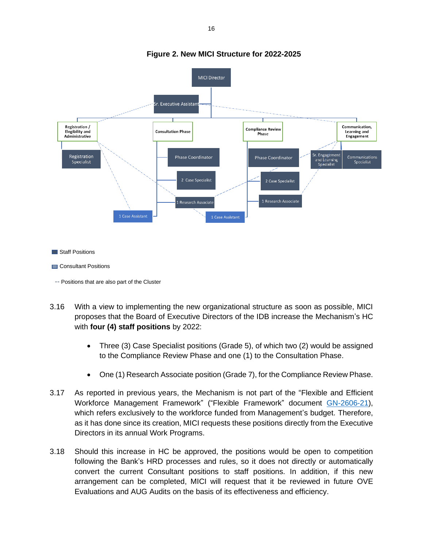

#### **Figure 2. New MICI Structure for 2022-2025**

Staff Positions

Consultant Positions

-- Positions that are also part of the Cluster

- 3.16 With a view to implementing the new organizational structure as soon as possible, MICI proposes that the Board of Executive Directors of the IDB increase the Mechanism's HC with **four (4) staff positions** by 2022:
	- Three (3) Case Specialist positions (Grade 5), of which two (2) would be assigned to the Compliance Review Phase and one (1) to the Consultation Phase.
	- One (1) Research Associate position (Grade 7), for the Compliance Review Phase.
- 3.17 As reported in previous years, the Mechanism is not part of the "Flexible and Efficient Workforce Management Framework" ("Flexible Framework" document [GN-2606-21\)](http://idbdocs.iadb.org/wsdocs/getdocument.aspx?docnum=EZSHARE-441247029-1017&CONTDISP=inline), which refers exclusively to the workforce funded from Management's budget. Therefore, as it has done since its creation, MICI requests these positions directly from the Executive Directors in its annual Work Programs.
- 3.18 Should this increase in HC be approved, the positions would be open to competition following the Bank's HRD processes and rules, so it does not directly or automatically convert the current Consultant positions to staff positions. In addition, if this new arrangement can be completed, MICI will request that it be reviewed in future OVE Evaluations and AUG Audits on the basis of its effectiveness and efficiency.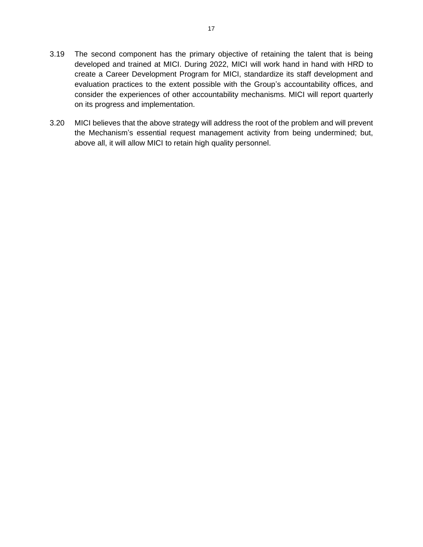- 3.19 The second component has the primary objective of retaining the talent that is being developed and trained at MICI. During 2022, MICI will work hand in hand with HRD to create a Career Development Program for MICI, standardize its staff development and evaluation practices to the extent possible with the Group's accountability offices, and consider the experiences of other accountability mechanisms. MICI will report quarterly on its progress and implementation.
- 3.20 MICI believes that the above strategy will address the root of the problem and will prevent the Mechanism's essential request management activity from being undermined; but, above all, it will allow MICI to retain high quality personnel.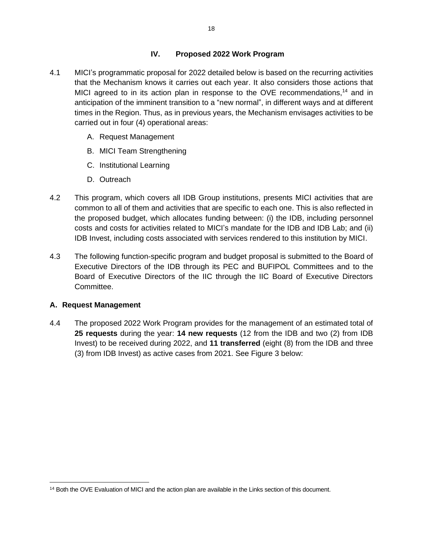### **IV. Proposed 2022 Work Program**

- <span id="page-18-0"></span>4.1 MICI's programmatic proposal for 2022 detailed below is based on the recurring activities that the Mechanism knows it carries out each year. It also considers those actions that MICI agreed to in its action plan in response to the OVE recommendations,<sup>14</sup> and in anticipation of the imminent transition to a "new normal", in different ways and at different times in the Region. Thus, as in previous years, the Mechanism envisages activities to be carried out in four (4) operational areas:
	- A. Request Management
	- B. MICI Team Strengthening
	- C. Institutional Learning
	- D. Outreach
- 4.2 This program, which covers all IDB Group institutions, presents MICI activities that are common to all of them and activities that are specific to each one. This is also reflected in the proposed budget, which allocates funding between: (i) the IDB, including personnel costs and costs for activities related to MICI's mandate for the IDB and IDB Lab; and (ii) IDB Invest, including costs associated with services rendered to this institution by MICI.
- 4.3 The following function-specific program and budget proposal is submitted to the Board of Executive Directors of the IDB through its PEC and BUFIPOL Committees and to the Board of Executive Directors of the IIC through the IIC Board of Executive Directors Committee.

### <span id="page-18-1"></span>**A. Request Management**

4.4 The proposed 2022 Work Program provides for the management of an estimated total of **25 requests** during the year: **14 new requests** (12 from the IDB and two (2) from IDB Invest) to be received during 2022, and **11 transferred** (eight (8) from the IDB and three (3) from IDB Invest) as active cases from 2021. See Figure 3 below:

<sup>&</sup>lt;sup>14</sup> Both the OVE Evaluation of MICI and the action plan are available in the Links section of this document.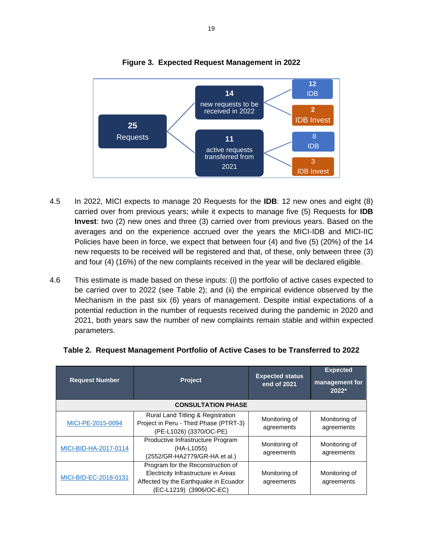

## **Figure 3. Expected Request Management in 2022**

- 4.5 In 2022, MICI expects to manage 20 Requests for the **IDB**: 12 new ones and eight (8) carried over from previous years; while it expects to manage five (5) Requests for **IDB Invest**: two (2) new ones and three (3) carried over from previous years. Based on the averages and on the experience accrued over the years the MICI-IDB and MICI-IIC Policies have been in force, we expect that between four (4) and five (5) (20%) of the 14 new requests to be received will be registered and that, of these, only between three (3) and four (4) (16%) of the new complaints received in the year will be declared eligible.
- 4.6 This estimate is made based on these inputs: (i) the portfolio of active cases expected to be carried over to 2022 (see Table 2); and (ii) the empirical evidence observed by the Mechanism in the past six (6) years of management. Despite initial expectations of a potential reduction in the number of requests received during the pandemic in 2020 and 2021, both years saw the number of new complaints remain stable and within expected parameters.

| <b>Request Number</b> | <b>Project</b>                                                                                                                               | <b>Expected status</b><br>end of 2021 | <b>Expected</b><br>management for<br>$2022*$ |
|-----------------------|----------------------------------------------------------------------------------------------------------------------------------------------|---------------------------------------|----------------------------------------------|
|                       | <b>CONSULTATION PHASE</b>                                                                                                                    |                                       |                                              |
| MICI-PE-2015-0094     | Rural Land Titling & Registration<br>Project in Peru - Third Phase (PTRT-3)<br>(PE-L1026) (3370/OC-PE)                                       | Monitoring of<br>agreements           | Monitoring of<br>agreements                  |
| MICI-BID-HA-2017-0114 | Productive Infrastructure Program<br>(HA-L1055)<br>(2552/GR-HA2779/GR-HA et al.)                                                             | Monitoring of<br>agreements           | Monitoring of<br>agreements                  |
| MICI-BID-EC-2018-0131 | Program for the Reconstruction of<br>Electricity Infrastructure in Areas<br>Affected by the Earthquake in Ecuador<br>(EC-L1219) (3906/OC-EC) | Monitoring of<br>agreements           | Monitoring of<br>agreements                  |

| Table 2. Request Management Portfolio of Active Cases to be Transferred to 2022 |  |  |
|---------------------------------------------------------------------------------|--|--|
|                                                                                 |  |  |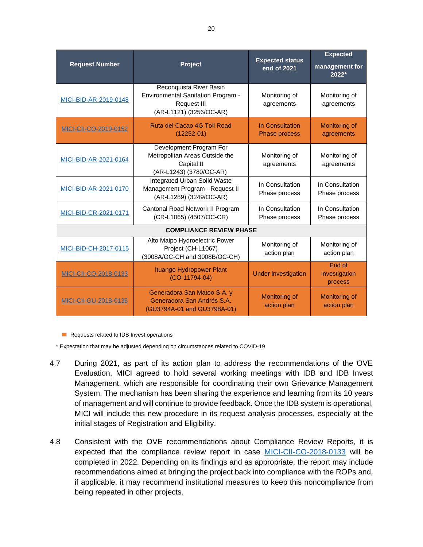| <b>Request Number</b>        | Project                                                                                                               | <b>Expected status</b><br>end of 2021   | <b>Expected</b><br>management for<br>2022* |
|------------------------------|-----------------------------------------------------------------------------------------------------------------------|-----------------------------------------|--------------------------------------------|
| MICI-BID-AR-2019-0148        | Reconquista River Basin<br><b>Environmental Sanitation Program -</b><br><b>Request III</b><br>(AR-L1121) (3256/OC-AR) | Monitoring of<br>agreements             | Monitoring of<br>agreements                |
| MICI-CII-CO-2019-0152        | Ruta del Cacao 4G Toll Road<br>$(12252 - 01)$                                                                         | In Consultation<br><b>Phase process</b> | Monitoring of<br>agreements                |
| MICI-BID-AR-2021-0164        | Development Program For<br>Metropolitan Areas Outside the<br>Capital II<br>(AR-L1243) (3780/OC-AR)                    | Monitoring of<br>agreements             | Monitoring of<br>agreements                |
| MICI-BID-AR-2021-0170        | <b>Integrated Urban Solid Waste</b><br>Management Program - Request II<br>(AR-L1289) (3249/OC-AR)                     | In Consultation<br>Phase process        | In Consultation<br>Phase process           |
| MICI-BID-CR-2021-0171        | Cantonal Road Network II Program<br>(CR-L1065) (4507/OC-CR)                                                           | In Consultation<br>Phase process        | In Consultation<br>Phase process           |
|                              | <b>COMPLIANCE REVIEW PHASE</b>                                                                                        |                                         |                                            |
| MICI-BID-CH-2017-0115        | Alto Maipo Hydroelectric Power<br>Project (CH-L1067)<br>(3008A/OC-CH and 3008B/OC-CH)                                 | Monitoring of<br>action plan            | Monitoring of<br>action plan               |
| MICI-CII-CO-2018-0133        | Ituango Hydropower Plant<br>$(CO-11794-04)$                                                                           | <b>Under investigation</b>              | <b>End of</b><br>investigation<br>process  |
| <b>MICI-CII-GU-2018-0136</b> | Generadora San Mateo S.A. y<br>Generadora San Andrés S.A.<br>(GU3794A-01 and GU3798A-01)                              | <b>Monitoring of</b><br>action plan     | Monitoring of<br>action plan               |

Requests related to IDB Invest operations

\* Expectation that may be adjusted depending on circumstances related to COVID-19

- 4.7 During 2021, as part of its action plan to address the recommendations of the OVE Evaluation, MICI agreed to hold several working meetings with IDB and IDB Invest Management, which are responsible for coordinating their own Grievance Management System. The mechanism has been sharing the experience and learning from its 10 years of management and will continue to provide feedback. Once the IDB system is operational, MICI will include this new procedure in its request analysis processes, especially at the initial stages of Registration and Eligibility.
- 4.8 Consistent with the OVE recommendations about Compliance Review Reports, it is expected that the compliance review report in case [MICI-CII-CO-2018-0133](https://www.iadb.org/en/mici/complaint-detail?ID=MICI-CII-CO-2018-0133&nid=23506) will be completed in 2022. Depending on its findings and as appropriate, the report may include recommendations aimed at bringing the project back into compliance with the ROPs and, if applicable, it may recommend institutional measures to keep this noncompliance from being repeated in other projects.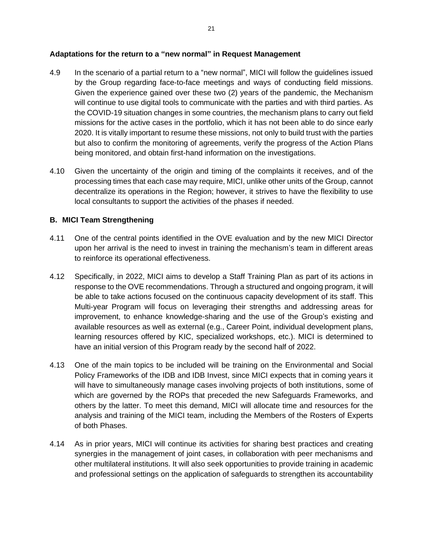#### **Adaptations for the return to a "new normal" in Request Management**

- 4.9 In the scenario of a partial return to a "new normal", MICI will follow the guidelines issued by the Group regarding face-to-face meetings and ways of conducting field missions. Given the experience gained over these two (2) years of the pandemic, the Mechanism will continue to use digital tools to communicate with the parties and with third parties. As the COVID-19 situation changes in some countries, the mechanism plans to carry out field missions for the active cases in the portfolio, which it has not been able to do since early 2020. It is vitally important to resume these missions, not only to build trust with the parties but also to confirm the monitoring of agreements, verify the progress of the Action Plans being monitored, and obtain first-hand information on the investigations.
- 4.10 Given the uncertainty of the origin and timing of the complaints it receives, and of the processing times that each case may require, MICI, unlike other units of the Group, cannot decentralize its operations in the Region; however, it strives to have the flexibility to use local consultants to support the activities of the phases if needed.

#### <span id="page-21-0"></span>**B. MICI Team Strengthening**

- 4.11 One of the central points identified in the OVE evaluation and by the new MICI Director upon her arrival is the need to invest in training the mechanism's team in different areas to reinforce its operational effectiveness.
- 4.12 Specifically, in 2022, MICI aims to develop a Staff Training Plan as part of its actions in response to the OVE recommendations. Through a structured and ongoing program, it will be able to take actions focused on the continuous capacity development of its staff. This Multi-year Program will focus on leveraging their strengths and addressing areas for improvement, to enhance knowledge-sharing and the use of the Group's existing and available resources as well as external (e.g., Career Point, individual development plans, learning resources offered by KIC, specialized workshops, etc.). MICI is determined to have an initial version of this Program ready by the second half of 2022.
- 4.13 One of the main topics to be included will be training on the Environmental and Social Policy Frameworks of the IDB and IDB Invest, since MICI expects that in coming years it will have to simultaneously manage cases involving projects of both institutions, some of which are governed by the ROPs that preceded the new Safeguards Frameworks, and others by the latter. To meet this demand, MICI will allocate time and resources for the analysis and training of the MICI team, including the Members of the Rosters of Experts of both Phases.
- 4.14 As in prior years, MICI will continue its activities for sharing best practices and creating synergies in the management of joint cases, in collaboration with peer mechanisms and other multilateral institutions. It will also seek opportunities to provide training in academic and professional settings on the application of safeguards to strengthen its accountability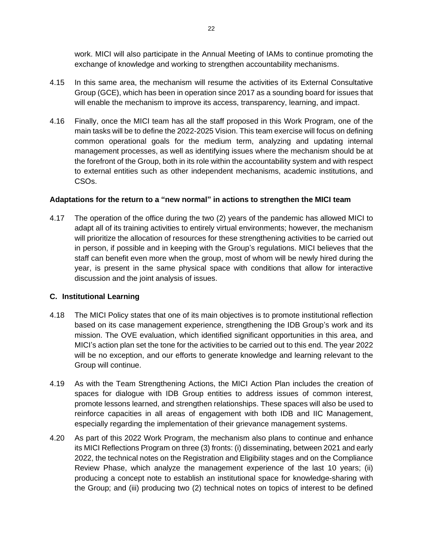work. MICI will also participate in the Annual Meeting of IAMs to continue promoting the exchange of knowledge and working to strengthen accountability mechanisms.

- 4.15 In this same area, the mechanism will resume the activities of its External Consultative Group (GCE), which has been in operation since 2017 as a sounding board for issues that will enable the mechanism to improve its access, transparency, learning, and impact.
- 4.16 Finally, once the MICI team has all the staff proposed in this Work Program, one of the main tasks will be to define the 2022-2025 Vision. This team exercise will focus on defining common operational goals for the medium term, analyzing and updating internal management processes, as well as identifying issues where the mechanism should be at the forefront of the Group, both in its role within the accountability system and with respect to external entities such as other independent mechanisms, academic institutions, and CSOs.

#### **Adaptations for the return to a "new normal" in actions to strengthen the MICI team**

4.17 The operation of the office during the two (2) years of the pandemic has allowed MICI to adapt all of its training activities to entirely virtual environments; however, the mechanism will prioritize the allocation of resources for these strengthening activities to be carried out in person, if possible and in keeping with the Group's regulations. MICI believes that the staff can benefit even more when the group, most of whom will be newly hired during the year, is present in the same physical space with conditions that allow for interactive discussion and the joint analysis of issues.

#### <span id="page-22-0"></span>**C. Institutional Learning**

- 4.18 The MICI Policy states that one of its main objectives is to promote institutional reflection based on its case management experience, strengthening the IDB Group's work and its mission. The OVE evaluation, which identified significant opportunities in this area, and MICI's action plan set the tone for the activities to be carried out to this end. The year 2022 will be no exception, and our efforts to generate knowledge and learning relevant to the Group will continue.
- 4.19 As with the Team Strengthening Actions, the MICI Action Plan includes the creation of spaces for dialogue with IDB Group entities to address issues of common interest, promote lessons learned, and strengthen relationships. These spaces will also be used to reinforce capacities in all areas of engagement with both IDB and IIC Management, especially regarding the implementation of their grievance management systems.
- 4.20 As part of this 2022 Work Program, the mechanism also plans to continue and enhance its MICI Reflections Program on three (3) fronts: (i) disseminating, between 2021 and early 2022, the technical notes on the Registration and Eligibility stages and on the Compliance Review Phase, which analyze the management experience of the last 10 years; (ii) producing a concept note to establish an institutional space for knowledge-sharing with the Group; and (iii) producing two (2) technical notes on topics of interest to be defined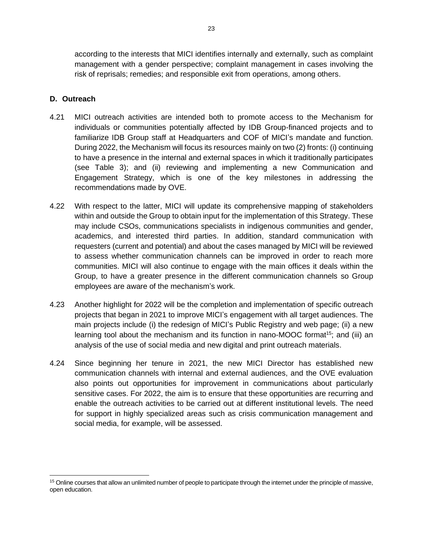according to the interests that MICI identifies internally and externally, such as complaint management with a gender perspective; complaint management in cases involving the risk of reprisals; remedies; and responsible exit from operations, among others.

### <span id="page-23-0"></span>**D. Outreach**

- 4.21 MICI outreach activities are intended both to promote access to the Mechanism for individuals or communities potentially affected by IDB Group-financed projects and to familiarize IDB Group staff at Headquarters and COF of MICI's mandate and function. During 2022, the Mechanism will focus its resources mainly on two (2) fronts: (i) continuing to have a presence in the internal and external spaces in which it traditionally participates (see Table 3); and (ii) reviewing and implementing a new Communication and Engagement Strategy, which is one of the key milestones in addressing the recommendations made by OVE.
- 4.22 With respect to the latter, MICI will update its comprehensive mapping of stakeholders within and outside the Group to obtain input for the implementation of this Strategy. These may include CSOs, communications specialists in indigenous communities and gender, academics, and interested third parties. In addition, standard communication with requesters (current and potential) and about the cases managed by MICI will be reviewed to assess whether communication channels can be improved in order to reach more communities. MICI will also continue to engage with the main offices it deals within the Group, to have a greater presence in the different communication channels so Group employees are aware of the mechanism's work.
- 4.23 Another highlight for 2022 will be the completion and implementation of specific outreach projects that began in 2021 to improve MICI's engagement with all target audiences. The main projects include (i) the redesign of MICI's Public Registry and web page; (ii) a new learning tool about the mechanism and its function in nano-MOOC format<sup>15</sup>; and (iii) an analysis of the use of social media and new digital and print outreach materials.
- 4.24 Since beginning her tenure in 2021, the new MICI Director has established new communication channels with internal and external audiences, and the OVE evaluation also points out opportunities for improvement in communications about particularly sensitive cases. For 2022, the aim is to ensure that these opportunities are recurring and enable the outreach activities to be carried out at different institutional levels. The need for support in highly specialized areas such as crisis communication management and social media, for example, will be assessed.

<sup>&</sup>lt;sup>15</sup> Online courses that allow an unlimited number of people to participate through the internet under the principle of massive, open education.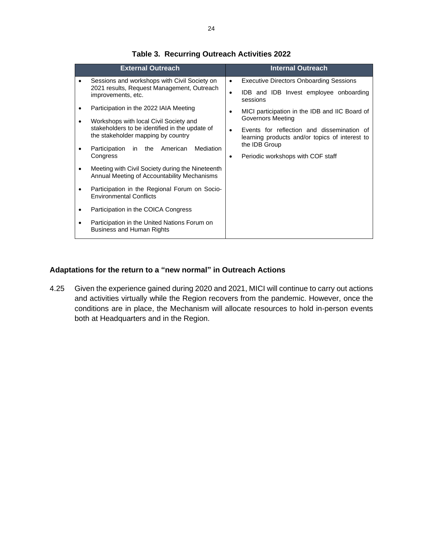|   | <b>External Outreach</b>                                                                        | <b>Internal Outreach</b>                                                                                  |
|---|-------------------------------------------------------------------------------------------------|-----------------------------------------------------------------------------------------------------------|
| ٠ | Sessions and workshops with Civil Society on                                                    | <b>Executive Directors Onboarding Sessions</b><br>$\bullet$                                               |
|   | 2021 results, Request Management, Outreach<br>improvements, etc.                                | IDB and IDB Invest employee onboarding<br>$\bullet$<br>sessions                                           |
|   | Participation in the 2022 IAIA Meeting                                                          | MICI participation in the IDB and IIC Board of<br>٠                                                       |
|   | Workshops with local Civil Society and                                                          | <b>Governors Meeting</b>                                                                                  |
|   | stakeholders to be identified in the update of<br>the stakeholder mapping by country            | Events for reflection and dissemination of<br>$\bullet$<br>learning products and/or topics of interest to |
|   | American<br>Mediation<br>Participation<br>in the                                                | the IDB Group                                                                                             |
|   | Congress                                                                                        | Periodic workshops with COF staff<br>٠                                                                    |
|   | Meeting with Civil Society during the Nineteenth<br>Annual Meeting of Accountability Mechanisms |                                                                                                           |
|   | Participation in the Regional Forum on Socio-<br><b>Environmental Conflicts</b>                 |                                                                                                           |
|   | Participation in the COICA Congress                                                             |                                                                                                           |
|   | Participation in the United Nations Forum on<br><b>Business and Human Rights</b>                |                                                                                                           |

## **Table 3. Recurring Outreach Activities 2022**

#### **Adaptations for the return to a "new normal" in Outreach Actions**

4.25 Given the experience gained during 2020 and 2021, MICI will continue to carry out actions and activities virtually while the Region recovers from the pandemic. However, once the conditions are in place, the Mechanism will allocate resources to hold in-person events both at Headquarters and in the Region.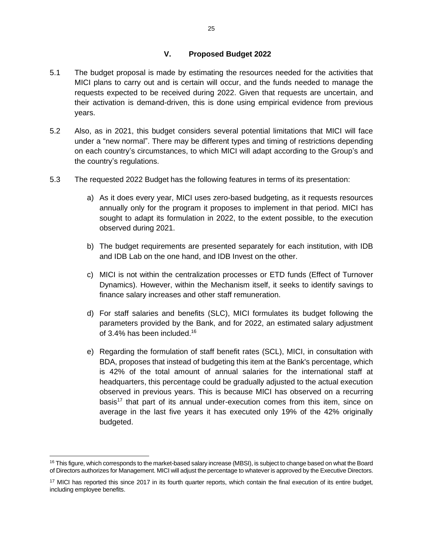#### **V. Proposed Budget 2022**

- <span id="page-25-0"></span>5.1 The budget proposal is made by estimating the resources needed for the activities that MICI plans to carry out and is certain will occur, and the funds needed to manage the requests expected to be received during 2022. Given that requests are uncertain, and their activation is demand-driven, this is done using empirical evidence from previous years.
- 5.2 Also, as in 2021, this budget considers several potential limitations that MICI will face under a "new normal". There may be different types and timing of restrictions depending on each country's circumstances, to which MICI will adapt according to the Group's and the country's regulations.
- 5.3 The requested 2022 Budget has the following features in terms of its presentation:
	- a) As it does every year, MICI uses zero-based budgeting, as it requests resources annually only for the program it proposes to implement in that period. MICI has sought to adapt its formulation in 2022, to the extent possible, to the execution observed during 2021.
	- b) The budget requirements are presented separately for each institution, with IDB and IDB Lab on the one hand, and IDB Invest on the other.
	- c) MICI is not within the centralization processes or ETD funds (Effect of Turnover Dynamics). However, within the Mechanism itself, it seeks to identify savings to finance salary increases and other staff remuneration.
	- d) For staff salaries and benefits (SLC), MICI formulates its budget following the parameters provided by the Bank, and for 2022, an estimated salary adjustment of 3.4% has been included. 16
	- e) Regarding the formulation of staff benefit rates (SCL), MICI, in consultation with BDA, proposes that instead of budgeting this item at the Bank's percentage, which is 42% of the total amount of annual salaries for the international staff at headquarters, this percentage could be gradually adjusted to the actual execution observed in previous years. This is because MICI has observed on a recurring  $basis<sup>17</sup>$  that part of its annual under-execution comes from this item, since on average in the last five years it has executed only 19% of the 42% originally budgeted.

<sup>&</sup>lt;sup>16</sup> This figure, which corresponds to the market-based salary increase (MBSI), is subject to change based on what the Board of Directors authorizes for Management. MICI will adjust the percentage to whatever is approved by the Executive Directors.

<sup>&</sup>lt;sup>17</sup> MICI has reported this since 2017 in its fourth quarter reports, which contain the final execution of its entire budget, including employee benefits.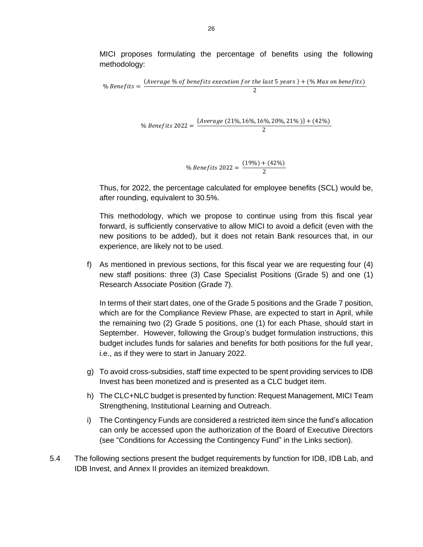MICI proposes formulating the percentage of benefits using the following methodology:

% *Benerfits* = 
$$
\frac{(Average % of benefits execution for the last 5 years) + (%) (Max on benefits)}{2}
$$
\n% *Benerfits* 2022 = 
$$
\frac{\{Average (21%, 16%, 16%, 20%, 21%)\} + (42%)}{2}
$$
\n% *Benerfits* 2022 = 
$$
\frac{(19%) + (42%)}{2}
$$

Thus, for 2022, the percentage calculated for employee benefits (SCL) would be, after rounding, equivalent to 30.5%.

2

This methodology, which we propose to continue using from this fiscal year forward, is sufficiently conservative to allow MICI to avoid a deficit (even with the new positions to be added), but it does not retain Bank resources that, in our experience, are likely not to be used.

f) As mentioned in previous sections, for this fiscal year we are requesting four (4) new staff positions: three (3) Case Specialist Positions (Grade 5) and one (1) Research Associate Position (Grade 7).

In terms of their start dates, one of the Grade 5 positions and the Grade 7 position, which are for the Compliance Review Phase, are expected to start in April, while the remaining two (2) Grade 5 positions, one (1) for each Phase, should start in September. However, following the Group's budget formulation instructions, this budget includes funds for salaries and benefits for both positions for the full year, i.e., as if they were to start in January 2022.

- g) To avoid cross-subsidies, staff time expected to be spent providing services to IDB Invest has been monetized and is presented as a CLC budget item.
- h) The CLC+NLC budget is presented by function: Request Management, MICI Team Strengthening, Institutional Learning and Outreach.
- i) The Contingency Funds are considered a restricted item since the fund's allocation can only be accessed upon the authorization of the Board of Executive Directors (see "Conditions for Accessing the Contingency Fund" in the Links section).
- 5.4 The following sections present the budget requirements by function for IDB, IDB Lab, and IDB Invest, and Annex II provides an itemized breakdown.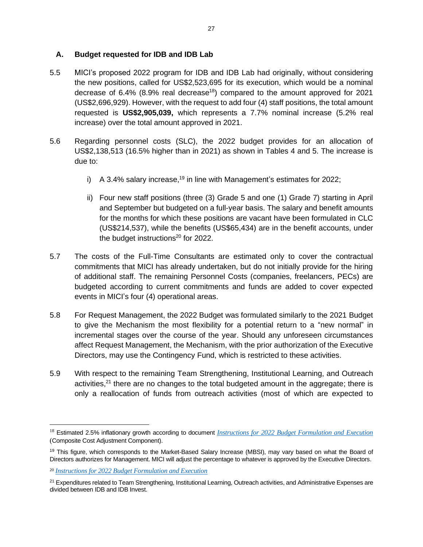### <span id="page-27-0"></span>**A. Budget requested for IDB and IDB Lab**

- 5.5 MICI's proposed 2022 program for IDB and IDB Lab had originally, without considering the new positions, called for US\$2,523,695 for its execution, which would be a nominal decrease of 6.4% (8.9% real decrease<sup>18</sup>) compared to the amount approved for 2021 (US\$2,696,929). However, with the request to add four (4) staff positions, the total amount requested is **US\$2,905,039,** which represents a 7.7% nominal increase (5.2% real increase) over the total amount approved in 2021.
- 5.6 Regarding personnel costs (SLC), the 2022 budget provides for an allocation of US\$2,138,513 (16.5% higher than in 2021) as shown in Tables 4 and 5. The increase is due to:
	- i) A 3.4% salary increase,<sup>19</sup> in line with Management's estimates for 2022;
	- ii) Four new staff positions (three (3) Grade 5 and one (1) Grade 7) starting in April and September but budgeted on a full-year basis. The salary and benefit amounts for the months for which these positions are vacant have been formulated in CLC (US\$214,537), while the benefits (US\$65,434) are in the benefit accounts, under the budget instructions<sup>20</sup> for 2022.
- 5.7 The costs of the Full-Time Consultants are estimated only to cover the contractual commitments that MICI has already undertaken, but do not initially provide for the hiring of additional staff. The remaining Personnel Costs (companies, freelancers, PECs) are budgeted according to current commitments and funds are added to cover expected events in MICI's four (4) operational areas.
- 5.8 For Request Management, the 2022 Budget was formulated similarly to the 2021 Budget to give the Mechanism the most flexibility for a potential return to a "new normal" in incremental stages over the course of the year. Should any unforeseen circumstances affect Request Management, the Mechanism, with the prior authorization of the Executive Directors, may use the Contingency Fund, which is restricted to these activities.
- 5.9 With respect to the remaining Team Strengthening, Institutional Learning, and Outreach activities,<sup>21</sup> there are no changes to the total budgeted amount in the aggregate; there is only a reallocation of funds from outreach activities (most of which are expected to

<sup>18</sup> Estimated 2.5% inflationary growth according to document *[Instructions for 2022 Budget Formulation and Execution](https://idbg.sharepoint.com/teams/ez-BGT/Administrative/Preparation/Forms/AllItems.aspx?id=%2Fteams%2Fez%2DBGT%2FAdministrative%2FPreparation%2FBudget%20Instructions%2FCopy%2Dof%2DBudget%2DInstructions%2D2022%2DII%20%2810%29%2Epdf&parent=%2Fteams%2Fez%2DBGT%2FAdministrative%2FPreparation%2FBudget%20Instructions)* (Composite Cost Adjustment Component).

<sup>&</sup>lt;sup>19</sup> This figure, which corresponds to the Market-Based Salary Increase (MBSI), may vary based on what the Board of Directors authorizes for Management. MICI will adjust the percentage to whatever is approved by the Executive Directors.

<sup>20</sup> *[Instructions for 2022 Budget Formulation and Execution](https://idbg.sharepoint.com/teams/ez-BGT/Administrative/Preparation/Forms/AllItems.aspx?id=%2Fteams%2Fez%2DBGT%2FAdministrative%2FPreparation%2FBudget%20Instructions%2FCopy%2Dof%2DBudget%2DInstructions%2D2022%2DII%20%2810%29%2Epdf&parent=%2Fteams%2Fez%2DBGT%2FAdministrative%2FPreparation%2FBudget%20Instructions)*

<sup>&</sup>lt;sup>21</sup> Expenditures related to Team Strengthening, Institutional Learning, Outreach activities, and Administrative Expenses are divided between IDB and IDB Invest.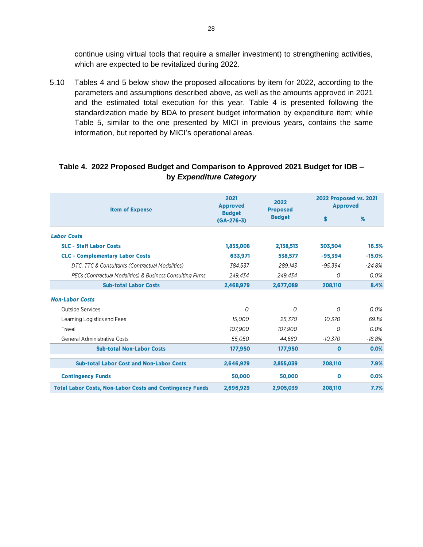continue using virtual tools that require a smaller investment) to strengthening activities, which are expected to be revitalized during 2022.

5.10 Tables 4 and 5 below show the proposed allocations by item for 2022, according to the parameters and assumptions described above, as well as the amounts approved in 2021 and the estimated total execution for this year. Table 4 is presented following the standardization made by BDA to present budget information by expenditure item; while Table 5, similar to the one presented by MICI in previous years, contains the same information, but reported by MICI's operational areas.

#### **Table 4. 2022 Proposed Budget and Comparison to Approved 2021 Budget for IDB – by** *Expenditure Category*

| <b>Item of Expense</b>                                          | 2021<br><b>Approved</b>                                                 | 2022      | <b>2022 Proposed vs. 2021</b><br><b>Approved</b> |          |  |
|-----------------------------------------------------------------|-------------------------------------------------------------------------|-----------|--------------------------------------------------|----------|--|
|                                                                 | <b>Proposed</b><br><b>Budget</b><br><b>Budget</b><br>\$<br>$(GA-276-3)$ |           | %                                                |          |  |
| <b>Labor Costs</b>                                              |                                                                         |           |                                                  |          |  |
| <b>SLC - Staff Labor Costs</b>                                  | 1,835,008                                                               | 2,138,513 | 303,504                                          | 16.5%    |  |
| <b>CLC - Complementary Labor Costs</b>                          | 633,971                                                                 | 538,577   | $-95,394$                                        | $-15.0%$ |  |
| DTC, TTC & Consultants (Contractual Modalities)                 | 384,537                                                                 | 289,143   | $-95,394$                                        | $-24.8%$ |  |
| PECs (Contractual Modalities) & Business Consulting Firms       | 249,434                                                                 | 249,434   | 0                                                | 0.0%     |  |
| <b>Sub-total Labor Costs</b>                                    | 2,468,979                                                               | 2,677,089 | 208,110                                          | 8.4%     |  |
| <b>Non-Labor Costs</b>                                          |                                                                         |           |                                                  |          |  |
| Outside Services                                                | O                                                                       | 0         | O                                                | 0.0%     |  |
| Learning Logistics and Fees                                     | 15,000                                                                  | 25,370    | 10,370                                           | 69.1%    |  |
| Travel                                                          | 107,900                                                                 | 107,900   | 0                                                | 0.0%     |  |
| <b>General Administrative Costs</b>                             | 55.050                                                                  | 44.680    | $-10.370$                                        | $-18.8%$ |  |
| <b>Sub-total Non-Labor Costs</b>                                | 177,950                                                                 | 177,950   | $\Omega$                                         | 0.0%     |  |
| <b>Sub-total Labor Cost and Non-Labor Costs</b>                 | 2,646,929                                                               | 2,855,039 | 208.110                                          | 7.9%     |  |
| <b>Contingency Funds</b>                                        | 50,000                                                                  | 50,000    | $\mathbf 0$                                      | 0.0%     |  |
| <b>Total Labor Costs, Non-Labor Costs and Contingency Funds</b> | 2,696,929                                                               | 2,905,039 | 208,110                                          | 7.7%     |  |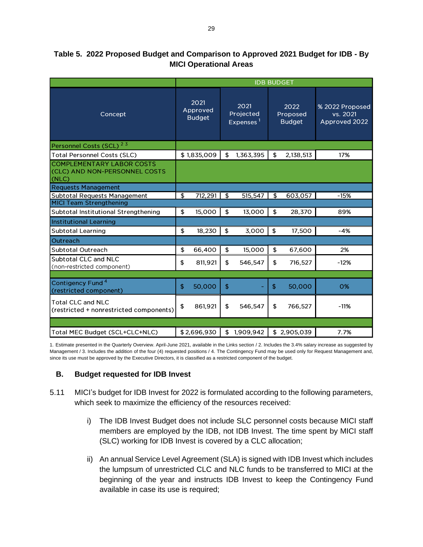|                                                                            | <b>IDB BUDGET</b>                 |    |                                            |    |                                   |                                              |  |
|----------------------------------------------------------------------------|-----------------------------------|----|--------------------------------------------|----|-----------------------------------|----------------------------------------------|--|
| Concept                                                                    | 2021<br>Approved<br><b>Budget</b> |    | 2021<br>Projected<br>Expenses <sup>1</sup> |    | 2022<br>Proposed<br><b>Budget</b> | % 2022 Proposed<br>vs. 2021<br>Approved 2022 |  |
| Personnel Costs (SCL) <sup>23</sup>                                        |                                   |    |                                            |    |                                   |                                              |  |
| <b>Total Personnel Costs (SLC)</b>                                         | \$1,835,009                       | \$ | 1,363,395                                  | \$ | 2,138,513                         | 17%                                          |  |
| <b>COMPLEMENTARY LABOR COSTS</b><br>(CLC) AND NON-PERSONNEL COSTS<br>(NLC) |                                   |    |                                            |    |                                   |                                              |  |
| <b>Requests Management</b>                                                 |                                   |    |                                            |    |                                   |                                              |  |
| Subtotal Requests Management<br><b>MICI Team Strengthening</b>             | \$<br>712,291                     | \$ | 515,547                                    | \$ | 603,057                           | $-15%$                                       |  |
|                                                                            |                                   |    |                                            |    |                                   |                                              |  |
| Subtotal Institutional Strengthening                                       | \$<br>15,000                      | \$ | 13,000                                     | \$ | 28,370                            | 89%                                          |  |
| <b>Institutional Learning</b>                                              |                                   |    |                                            |    |                                   |                                              |  |
| <b>Subtotal Learning</b>                                                   | \$<br>18,230                      | \$ | 3,000                                      | \$ | 17,500                            | -4%                                          |  |
| Outreach                                                                   |                                   |    |                                            |    |                                   |                                              |  |
| Subtotal Outreach                                                          | \$<br>66,400                      | \$ | 15,000                                     | \$ | 67,600                            | 2%                                           |  |
| Subtotal CLC and NLC<br>(non-restricted component)                         | 811,921<br>\$                     | \$ | 546,547                                    | \$ | 716,527                           | $-12%$                                       |  |
|                                                                            |                                   |    |                                            |    |                                   |                                              |  |
| Contigency Fund <sup>4</sup><br>(restricted component)                     | 50,000<br>\$                      | \$ |                                            | \$ | 50,000                            | 0%                                           |  |
| <b>Total CLC and NLC</b><br>(restricted + nonrestricted components)        | \$<br>861,921                     | \$ | 546,547                                    | \$ | 766,527                           | $-11%$                                       |  |
|                                                                            |                                   |    |                                            |    |                                   |                                              |  |
| Total MEC Budget (SCL+CLC+NLC)                                             | \$2,696,930                       | \$ | 1,909,942                                  |    | \$2,905,039                       | 7.7%                                         |  |

## **Table 5. 2022 Proposed Budget and Comparison to Approved 2021 Budget for IDB - By MICI Operational Areas**

1. Estimate presented in the Quarterly Overview. April-June 2021, available in the Links section / 2. Includes the 3.4% salary increase as suggested by Management / 3. Includes the addition of the four (4) requested positions / 4. The Contingency Fund may be used only for Request Management and, since its use must be approved by the Executive Directors, it is classified as a restricted component of the budget.

### <span id="page-29-0"></span>**B. Budget requested for IDB Invest**

- 5.11 MICI's budget for IDB Invest for 2022 is formulated according to the following parameters, which seek to maximize the efficiency of the resources received:
	- i) The IDB Invest Budget does not include SLC personnel costs because MICI staff members are employed by the IDB, not IDB Invest. The time spent by MICI staff (SLC) working for IDB Invest is covered by a CLC allocation;
	- ii) An annual Service Level Agreement (SLA) is signed with IDB Invest which includes the lumpsum of unrestricted CLC and NLC funds to be transferred to MICI at the beginning of the year and instructs IDB Invest to keep the Contingency Fund available in case its use is required;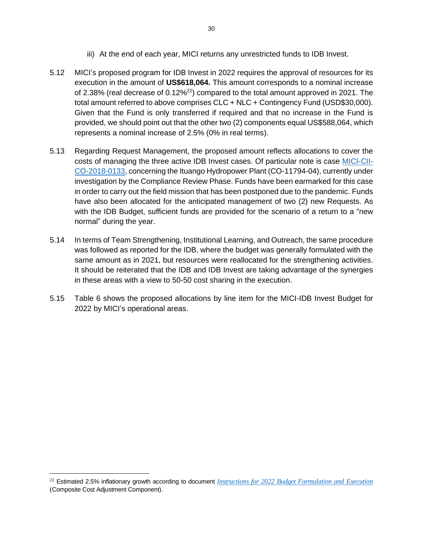- iii) At the end of each year, MICI returns any unrestricted funds to IDB Invest.
- 5.12 MICI's proposed program for IDB Invest in 2022 requires the approval of resources for its execution in the amount of **US\$618,064.** This amount corresponds to a nominal increase of 2.38% (real decrease of  $0.12\%^{22}$ ) compared to the total amount approved in 2021. The total amount referred to above comprises CLC + NLC + Contingency Fund (USD\$30,000). Given that the Fund is only transferred if required and that no increase in the Fund is provided, we should point out that the other two (2) components equal US\$588,064, which represents a nominal increase of 2.5% (0% in real terms).
- 5.13 Regarding Request Management, the proposed amount reflects allocations to cover the costs of managing the three active IDB Invest cases. Of particular note is case [MICI-CII-](https://www.iadb.org/en/mici/request-detail-iic?ID=MICI-CII-CO-2018-0133&nid=23506)[CO-2018-0133,](https://www.iadb.org/en/mici/request-detail-iic?ID=MICI-CII-CO-2018-0133&nid=23506) concerning the Ituango Hydropower Plant (CO-11794-04), currently under investigation by the Compliance Review Phase. Funds have been earmarked for this case in order to carry out the field mission that has been postponed due to the pandemic. Funds have also been allocated for the anticipated management of two (2) new Requests. As with the IDB Budget, sufficient funds are provided for the scenario of a return to a "new normal" during the year.
- 5.14 In terms of Team Strengthening, Institutional Learning, and Outreach, the same procedure was followed as reported for the IDB, where the budget was generally formulated with the same amount as in 2021, but resources were reallocated for the strengthening activities. It should be reiterated that the IDB and IDB Invest are taking advantage of the synergies in these areas with a view to 50-50 cost sharing in the execution.
- 5.15 Table 6 shows the proposed allocations by line item for the MICI-IDB Invest Budget for 2022 by MICI's operational areas.

<sup>22</sup> Estimated 2.5% inflationary growth according to document *[Instructions for 2022 Budget Formulation and Execution](https://idbg.sharepoint.com/teams/ez-BGT/Administrative/Preparation/Forms/AllItems.aspx?id=%2Fteams%2Fez%2DBGT%2FAdministrative%2FPreparation%2FBudget%20Instructions%2FCopy%2Dof%2DBudget%2DInstructions%2D2022%2DII%20%2810%29%2Epdf&parent=%2Fteams%2Fez%2DBGT%2FAdministrative%2FPreparation%2FBudget%20Instructions)* (Composite Cost Adjustment Component).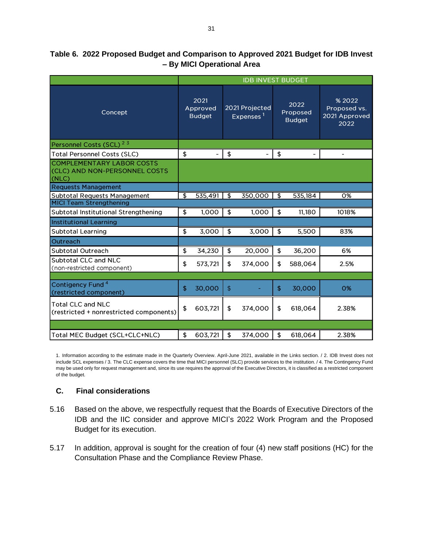|                                                                            | <b>IDB INVEST BUDGET</b> |                                   |                |                                |    |                                   |                                                 |  |
|----------------------------------------------------------------------------|--------------------------|-----------------------------------|----------------|--------------------------------|----|-----------------------------------|-------------------------------------------------|--|
| Concept                                                                    |                          | 2021<br>Approved<br><b>Budget</b> |                | 2021 Projected<br>Expenses $1$ |    | 2022<br>Proposed<br><b>Budget</b> | % 2022<br>Proposed vs.<br>2021 Approved<br>2022 |  |
| Personnel Costs (SCL) <sup>23</sup>                                        |                          |                                   |                |                                |    |                                   |                                                 |  |
| <b>Total Personnel Costs (SLC)</b>                                         | \$                       | ۰                                 | \$             | -                              | \$ |                                   |                                                 |  |
| <b>COMPLEMENTARY LABOR COSTS</b><br>(CLC) AND NON-PERSONNEL COSTS<br>(NLC) |                          |                                   |                |                                |    |                                   |                                                 |  |
| <b>Requests Management</b>                                                 |                          |                                   |                |                                |    |                                   |                                                 |  |
| <b>Subtotal Requests Management</b>                                        | \$                       | 535,491                           | $\mathfrak{P}$ | 350,000                        | \$ | 535,184                           | 0%                                              |  |
| <b>MICI Team Strengthening</b>                                             |                          |                                   |                |                                |    |                                   |                                                 |  |
| Subtotal Institutional Strengthening                                       | \$                       | 1,000                             | \$             | 1,000                          | \$ | 11,180                            | 1018%                                           |  |
| <b>Institutional Learning</b>                                              |                          |                                   |                |                                |    |                                   |                                                 |  |
| <b>Subtotal Learning</b>                                                   | \$                       | 3,000                             | \$             | 3,000                          | \$ | 5,500                             | 83%                                             |  |
| Outreach                                                                   |                          |                                   |                |                                |    |                                   |                                                 |  |
| Subtotal Outreach                                                          | \$                       | 34,230                            | \$             | 20,000                         | \$ | 36,200                            | 6%                                              |  |
| Subtotal CLC and NLC<br>(non-restricted component)                         | \$                       | 573,721                           | \$             | 374,000                        | \$ | 588,064                           | 2.5%                                            |  |
|                                                                            |                          |                                   |                |                                |    |                                   |                                                 |  |
| Contigency Fund <sup>4</sup><br>(restricted component)                     | \$                       | 30,000                            | $\frac{1}{2}$  |                                | \$ | 30,000                            | 0%                                              |  |
| <b>Total CLC and NLC</b><br>(restricted + nonrestricted components)        | \$                       | 603,721                           | \$             | 374,000                        | \$ | 618,064                           | 2.38%                                           |  |
|                                                                            |                          |                                   |                |                                |    |                                   |                                                 |  |
| Total MEC Budget (SCL+CLC+NLC)                                             | \$                       | 603,721                           | \$             | 374,000                        | \$ | 618,064                           | 2.38%                                           |  |

### **Table 6. 2022 Proposed Budget and Comparison to Approved 2021 Budget for IDB Invest – By MICI Operational Area**

1. Information according to the estimate made in the Quarterly Overview. April-June 2021, available in the Links section. / 2. IDB Invest does not include SCL expenses / 3. The CLC expense covers the time that MICI personnel (SLC) provide services to the institution. / 4. The Contingency Fund may be used only for request management and, since its use requires the approval of the Executive Directors, it is classified as a restricted component of the budget.

### <span id="page-31-0"></span>**C. Final considerations**

- 5.16 Based on the above, we respectfully request that the Boards of Executive Directors of the IDB and the IIC consider and approve MICI's 2022 Work Program and the Proposed Budget for its execution.
- 5.17 In addition, approval is sought for the creation of four (4) new staff positions (HC) for the Consultation Phase and the Compliance Review Phase.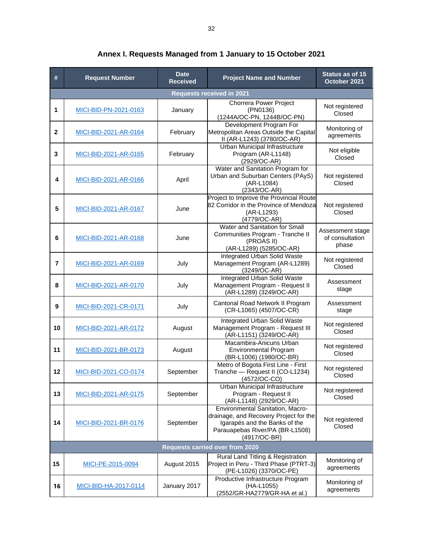| #              | <b>Request Number</b> | <b>Date</b><br><b>Received</b> | <b>Project Name and Number</b>                                                                                                                                 | Status as of 15<br>October 2021              |
|----------------|-----------------------|--------------------------------|----------------------------------------------------------------------------------------------------------------------------------------------------------------|----------------------------------------------|
|                |                       |                                | <b>Requests received in 2021</b>                                                                                                                               |                                              |
| 1              | MICI-BID-PN-2021-0163 | January                        | Chorrera Power Project<br>(PN0136)<br>(1244A/OC-PN, 1244B/OC-PN)                                                                                               | Not registered<br>Closed                     |
| 2              | MICI-BID-2021-AR-0164 | February                       | Development Program For<br>Metropolitan Areas Outside the Capital<br>II (AR-L1243) (3780/OC-AR)                                                                | Monitoring of<br>agreements                  |
| 3              | MICI-BID-2021-AR-0165 | February                       | Urban Municipal Infrastructure<br>Program (AR-L1148)<br>(2929/OC-AR)                                                                                           | Not eligible<br>Closed                       |
| 4              | MICI-BID-2021-AR-0166 | April                          | Water and Sanitation Program for<br>Urban and Suburban Centers (PAyS)<br>(AR-L1084)<br>(2343/OC-AR)                                                            | Not registered<br>Closed                     |
| 5              | MICI-BID-2021-AR-0167 | June                           | Project to Improve the Provincial Route<br>82 Corridor in the Province of Mendoza<br>(AR-L1293)<br>(4779/OC-AR)                                                | Not registered<br>Closed                     |
| 6              | MICI-BID-2021-AR-0168 | June                           | Water and Sanitation for Small<br>Communities Program - Tranche II<br>(PROAS II)<br>(AR-L1289) (5285/OC-AR)                                                    | Assessment stage<br>of consultation<br>phase |
| $\overline{7}$ | MICI-BID-2021-AR-0169 | July                           | Integrated Urban Solid Waste<br>Management Program (AR-L1289)<br>(3249/OC-AR)                                                                                  | Not registered<br>Closed                     |
| 8              | MICI-BID-2021-AR-0170 | July                           | <b>Integrated Urban Solid Waste</b><br>Management Program - Request II<br>(AR-L1289) (3249/OC-AR)                                                              | Assessment<br>stage                          |
| 9              | MICI-BID-2021-CR-0171 | July                           | Cantonal Road Network II Program<br>(CR-L1065) (4507/OC-CR)                                                                                                    | Assessment<br>stage                          |
| 10             | MICI-BID-2021-AR-0172 | August                         | Integrated Urban Solid Waste<br>Management Program - Request III<br>(AR-L1151) (3249/OC-AR)                                                                    | Not registered<br>Closed                     |
| 11             | MICI-BID-2021-BR-0173 | August                         | Macambira-Anicuns Urban<br><b>Environmental Program</b><br>(BR-L1006) (1980/OC-BR)                                                                             | Not registered<br>Closed                     |
| 12             | MICI-BID-2021-CO-0174 | September                      | Metro of Bogota First Line - First<br>Tranche - Request II (CO-L1234)<br>(4572/OC-CO)                                                                          | Not registered<br>Closed                     |
| 13             | MICI-BID-2021-AR-0175 | September                      | Urban Municipal Infrastructure<br>Program - Request II<br>(AR-L1148) (2929/OC-AR)                                                                              | Not registered<br>Closed                     |
| 14             | MICI-BID-2021-BR-0176 | September                      | Environmental Sanitation, Macro-<br>drainage, and Recovery Project for the<br>Igarapés and the Banks of the<br>Parauapebas River/PA (BR-L1508)<br>(4917/OC-BR) | Not registered<br>Closed                     |
|                |                       |                                | <b>Requests carried over from 2020</b>                                                                                                                         |                                              |
| 15             | MICI-PE-2015-0094     | August 2015                    | Rural Land Titling & Registration<br>Project in Peru - Third Phase (PTRT-3)<br>(PE-L1026) (3370/OC-PE)                                                         | Monitoring of<br>agreements                  |
| 16             | MICI-BID-HA-2017-0114 | January 2017                   | Productive Infrastructure Program<br>(HA-L1055)<br>(2552/GR-HA2779/GR-HA et al.)                                                                               |                                              |

**Annex I. Requests Managed from 1 January to 15 October 2021**